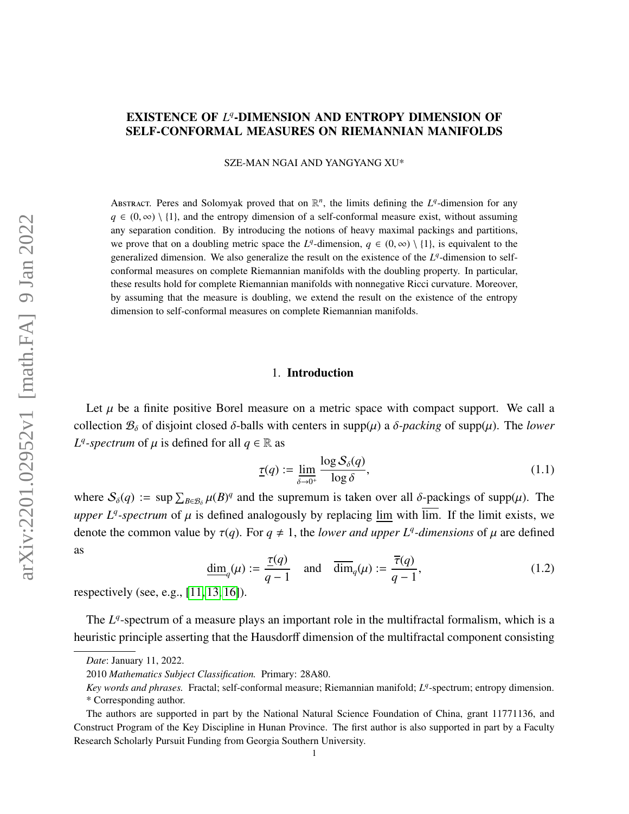# EXISTENCE OF  $L^q$ -DIMENSION AND ENTROPY DIMENSION OF SELF-CONFORMAL MEASURES ON RIEMANNIAN MANIFOLDS

SZE-MAN NGAI AND YANGYANG XU\*

ABSTRACT. Peres and Solomyak proved that on  $\mathbb{R}^n$ , the limits defining the  $L^q$ -dimension for any  $q \in (0, \infty) \setminus \{1\}$ , and the entropy dimension of a self-conformal measure exist, without assuming any separation condition. By introducing the notions of heavy maximal packings and partitions, we prove that on a doubling metric space the *L*<sup>q</sup>-dimension,  $q \in (0, \infty) \setminus \{1\}$ , is equivalent to the concretized dimension. We also concretize the result on the existence of the *L*<sup>q</sup> dimension to self generalized dimension. We also generalize the result on the existence of the  $L<sup>q</sup>$ -dimension to selfconformal measures on complete Riemannian manifolds with the doubling property. In particular, these results hold for complete Riemannian manifolds with nonnegative Ricci curvature. Moreover, by assuming that the measure is doubling, we extend the result on the existence of the entropy dimension to self-conformal measures on complete Riemannian manifolds.

## 1. Introduction

Let  $\mu$  be a finite positive Borel measure on a metric space with compact support. We call a collection  $\mathcal{B}_{\delta}$  of disjoint closed  $\delta$ -balls with centers in supp( $\mu$ ) a  $\delta$ -packing of supp( $\mu$ ). The *lower L*<sup>*q*</sup>-spectrum of  $\mu$  is defined for all  $q \in \mathbb{R}$  as

<span id="page-0-1"></span>
$$
\underline{\tau}(q) := \underline{\lim}_{\delta \to 0^+} \frac{\log S_{\delta}(q)}{\log \delta},\tag{1.1}
$$

where  $S_{\delta}(q) := \sup \sum_{B \in \mathcal{B}_{\delta}} \mu(B)^q$  and the supremum is taken over all  $\delta$ -packings of supp( $\mu$ ). The *upper L<sup>q</sup>*-spectrum of  $\mu$  is defined analogously by replacing  $\underline{\lim}$  with  $\overline{\lim}$ . If the limit exists, we denote the example has  $f(x)$ . For  $x \neq 1$ , the limit of  $\mu$  is expected. denote the common value by  $\tau(q)$ . For  $q \neq 1$ , the *lower and upper L<sup>q</sup>-dimensions* of  $\mu$  are defined as

<span id="page-0-0"></span>
$$
\underline{\dim}_q(\mu) := \frac{\underline{\tau}(q)}{q-1} \quad \text{and} \quad \overline{\dim}_q(\mu) := \frac{\overline{\tau}(q)}{q-1},\tag{1.2}
$$

respectively (see, e.g., [\[11,](#page-24-0) [13,](#page-25-0) [16\]](#page-25-1)).

The L<sup>q</sup>-spectrum of a measure plays an important role in the multifractal formalism, which is a heuristic principle asserting that the Hausdorff dimension of the multifractal component consisting

*Date*: January 11, 2022.

<sup>2010</sup> *Mathematics Subject Classification.* Primary: 28A80.

*Key words and phrases.* Fractal; self-conformal measure; Riemannian manifold; *L q* -spectrum; entropy dimension.

<sup>\*</sup> Corresponding author.

The authors are supported in part by the National Natural Science Foundation of China, grant 11771136, and Construct Program of the Key Discipline in Hunan Province. The first author is also supported in part by a Faculty Research Scholarly Pursuit Funding from Georgia Southern University.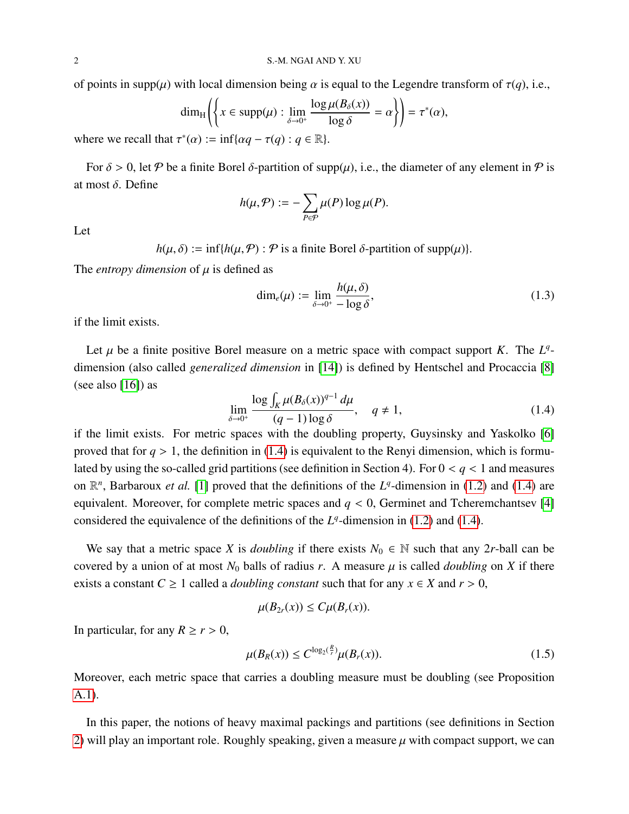of points in supp( $\mu$ ) with local dimension being  $\alpha$  is equal to the Legendre transform of  $\tau(q)$ , i.e.,

$$
\dim_{\mathrm{H}} \left( \left\{ x \in \mathrm{supp}(\mu) : \lim_{\delta \to 0^+} \frac{\log \mu(B_\delta(x))}{\log \delta} = \alpha \right\} \right) = \tau^*(\alpha),
$$

where we recall that  $\tau^*(\alpha) := \inf{\{\alpha q - \tau(q) : q \in \mathbb{R}\}}.$ 

For  $\delta > 0$ , let P be a finite Borel  $\delta$ -partition of supp $(\mu)$ , i.e., the diameter of any element in P is at most δ. Define

$$
h(\mu, \mathcal{P}) := -\sum_{P \in \mathcal{P}} \mu(P) \log \mu(P).
$$

Let

 $h(\mu, \delta) := \inf\{h(\mu, \mathcal{P}) : \mathcal{P}$  is a finite Borel  $\delta$ -partition of supp $(\mu)\}.$ 

The *entropy dimension* of  $\mu$  is defined as

<span id="page-1-1"></span>
$$
\dim_e(\mu) := \lim_{\delta \to 0^+} \frac{h(\mu, \delta)}{-\log \delta},\tag{1.3}
$$

if the limit exists.

Let  $\mu$  be a finite positive Borel measure on a metric space with compact support *K*. The  $L^q$ dimension (also called *generalized dimension* in [\[14\]](#page-25-2)) is defined by Hentschel and Procaccia [\[8\]](#page-24-1) (see also [\[16\]](#page-25-1)) as

<span id="page-1-0"></span>
$$
\lim_{\delta \to 0^+} \frac{\log \int_K \mu(B_\delta(x))^{q-1} d\mu}{(q-1)\log \delta}, \quad q \neq 1,
$$
\n(1.4)

if the limit exists. For metric spaces with the doubling property, Guysinsky and Yaskolko [\[6\]](#page-24-2) proved that for  $q > 1$ , the definition in [\(1.4\)](#page-1-0) is equivalent to the Renyi dimension, which is formulated by using the so-called grid partitions (see definition in Section 4). For  $0 < q < 1$  and measures on  $\mathbb{R}^n$ , Barbaroux *et al.* [\[1\]](#page-24-3) proved that the definitions of the  $L^q$ -dimension in [\(1.2\)](#page-0-0) and [\(1.4\)](#page-1-0) are equivalent. Moreover, for complete metric spaces and  $q < 0$ , Germinet and Tcheremchantsev [\[4\]](#page-24-4) considered the equivalence of the definitions of the  $L<sup>q</sup>$ -dimension in [\(1.2\)](#page-0-0) and [\(1.4\)](#page-1-0).

We say that a metric space *X* is *doubling* if there exists  $N_0 \in \mathbb{N}$  such that any 2*r*-ball can be covered by a union of at most  $N_0$  balls of radius r. A measure  $\mu$  is called *doubling* on X if there exists a constant  $C \ge 1$  called a *doubling constant* such that for any  $x \in X$  and  $r > 0$ ,

$$
\mu(B_{2r}(x))\leq C\mu(B_r(x)).
$$

In particular, for any  $R \ge r > 0$ ,

<span id="page-1-2"></span>
$$
\mu(B_R(x)) \le C^{\log_2(\frac{R}{r})} \mu(B_r(x)).\tag{1.5}
$$

Moreover, each metric space that carries a doubling measure must be doubling (see Proposition [A.1\)](#page-23-0).

In this paper, the notions of heavy maximal packings and partitions (see definitions in Section [2\)](#page-3-0) will play an important role. Roughly speaking, given a measure  $\mu$  with compact support, we can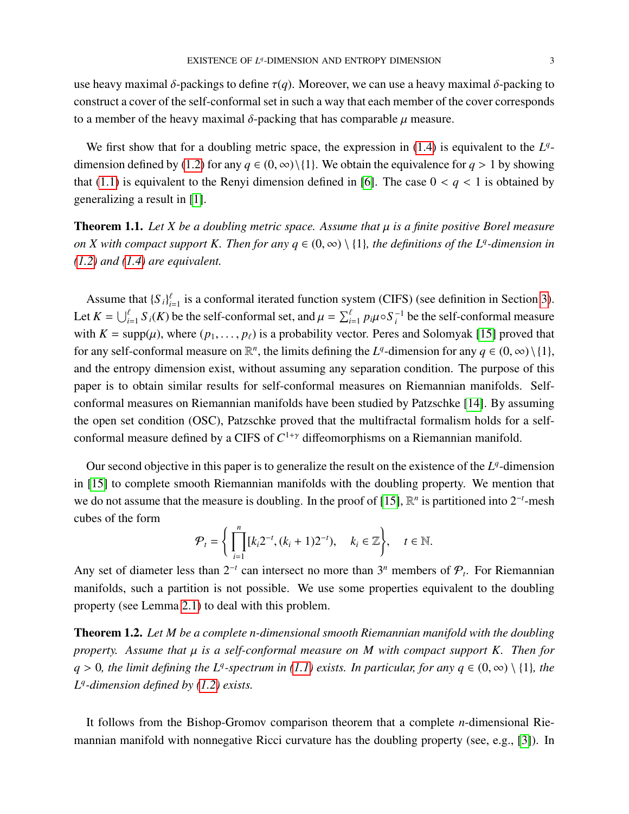use heavy maximal δ-packings to define  $\tau(q)$ . Moreover, we can use a heavy maximal δ-packing to construct a cover of the self-conformal set in such a way that each member of the cover corresponds to a member of the heavy maximal  $\delta$ -packing that has comparable  $\mu$  measure.

We first show that for a doubling metric space, the expression in  $(1.4)$  is equivalent to the  $L<sup>q</sup>$ -dimension defined by [\(1.2\)](#page-0-0) for any  $q \in (0, \infty) \setminus \{1\}$ . We obtain the equivalence for  $q > 1$  by showing that [\(1.1\)](#page-0-1) is equivalent to the Renyi dimension defined in [\[6\]](#page-24-2). The case  $0 < q < 1$  is obtained by generalizing a result in [\[1\]](#page-24-3).

<span id="page-2-0"></span>Theorem 1.1. *Let X be a doubling metric space. Assume that* µ *is a finite positive Borel measure on X with compact support K. Then for any*  $q \in (0, \infty) \setminus \{1\}$ *, the definitions of the L<sup><i>q*</sup>-dimension in *[\(1.2\)](#page-0-0) and [\(1.4\)](#page-1-0) are equivalent.*

Assume that  ${S_i}_{i=1}^{\ell}$  is a conformal iterated function system (CIFS) (see definition in Section [3\)](#page-9-0). Let  $K = \bigcup_{i=1}^{\ell} S_i(K)$  be the self-conformal set, and  $\mu = \sum_{i=1}^{\ell} p_i \mu \circ S_i^{-1}$  be the self-conformal measure with  $K = \text{supp}(\mu)$ , where  $(p_1, \ldots, p_\ell)$  is a probability vector. Peres and Solomyak [\[15\]](#page-25-3) proved that for any self-conformal measure on  $\mathbb{R}^n$ , the limits defining the *L<sup>q</sup>*-dimension for any  $q \in (0, \infty) \setminus \{1\}$ , and the entropy dimension exist, without assuming any separation condition. The purpose of this paper is to obtain similar results for self-conformal measures on Riemannian manifolds. Selfconformal measures on Riemannian manifolds have been studied by Patzschke [\[14\]](#page-25-2). By assuming the open set condition (OSC), Patzschke proved that the multifractal formalism holds for a selfconformal measure defined by a CIFS of  $C^{1+\gamma}$  diffeomorphisms on a Riemannian manifold.

Our second objective in this paper is to generalize the result on the existence of the  $L<sup>q</sup>$ -dimension in [\[15\]](#page-25-3) to complete smooth Riemannian manifolds with the doubling property. We mention that we do not assume that the measure is doubling. In the proof of [\[15\]](#page-25-3),  $\mathbb{R}^n$  is partitioned into  $2^{-t}$ -mesh cubes of the form

$$
\mathcal{P}_t = \left\{ \prod_{i=1}^n [k_i 2^{-t}, (k_i + 1) 2^{-t}), \quad k_i \in \mathbb{Z} \right\}, \quad t \in \mathbb{N}.
$$

Any set of diameter less than  $2^{-t}$  can intersect no more than  $3^n$  members of  $\mathcal{P}_t$ . For Riemannian manifolds, such a partition is not possible. We use some properties equivalent to the doubling property (see Lemma [2.1\)](#page-5-0) to deal with this problem.

<span id="page-2-1"></span>Theorem 1.2. *Let M be a complete n-dimensional smooth Riemannian manifold with the doubling property. Assume that* µ *is a self-conformal measure on M with compact support K. Then for q* > 0*, the limit defining the L<sup>q</sup>-spectrum in [\(1.1\)](#page-0-1) exists. In particular, for any <i>q* ∈ (0, ∞) \ {1}*, the*<br>*L*<sup>q</sup> dimension defined by (1.2) with *L q -dimension defined by [\(1.2\)](#page-0-0) exists.*

It follows from the Bishop-Gromov comparison theorem that a complete *n*-dimensional Riemannian manifold with nonnegative Ricci curvature has the doubling property (see, e.g., [\[3\]](#page-24-5)). In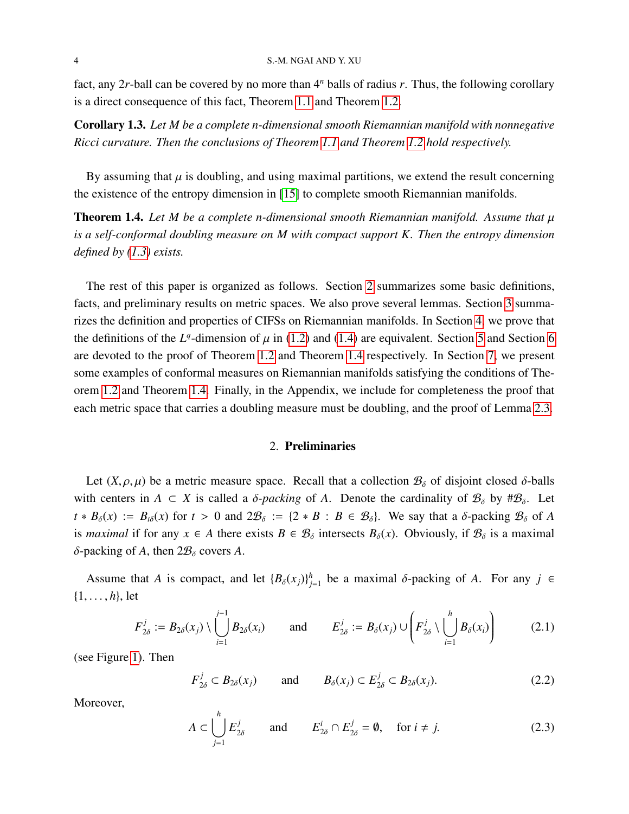### 4 S.-M. NGAI AND Y. XU

fact, any 2*r*-ball can be covered by no more than 4*<sup>n</sup>* balls of radius *r*. Thus, the following corollary is a direct consequence of this fact, Theorem [1.1](#page-2-0) and Theorem [1.2.](#page-2-1)

Corollary 1.3. *Let M be a complete n-dimensional smooth Riemannian manifold with nonnegative Ricci curvature. Then the conclusions of Theorem [1.1](#page-2-0) and Theorem [1.2](#page-2-1) hold respectively.*

By assuming that  $\mu$  is doubling, and using maximal partitions, we extend the result concerning the existence of the entropy dimension in [\[15\]](#page-25-3) to complete smooth Riemannian manifolds.

<span id="page-3-1"></span>**Theorem 1.4.** Let M be a complete n-dimensional smooth Riemannian manifold. Assume that  $\mu$ *is a self-conformal doubling measure on M with compact support K. Then the entropy dimension defined by [\(1.3\)](#page-1-1) exists.*

The rest of this paper is organized as follows. Section [2](#page-3-0) summarizes some basic definitions, facts, and preliminary results on metric spaces. We also prove several lemmas. Section [3](#page-9-0) summarizes the definition and properties of CIFSs on Riemannian manifolds. In Section [4,](#page-10-0) we prove that the definitions of the *L<sup>q</sup>*-dimension of  $\mu$  in [\(1.2\)](#page-0-0) and [\(1.4\)](#page-1-0) are equivalent. Section [5](#page-13-0) and Section [6](#page-17-0) are denoted to the next of Theorem 1.2 and Theorem 1.4 are restricted to Theorem 2 are expected. are devoted to the proof of Theorem [1.2](#page-2-1) and Theorem [1.4](#page-3-1) respectively. In Section [7,](#page-21-0) we present some examples of conformal measures on Riemannian manifolds satisfying the conditions of Theorem [1.2](#page-2-1) and Theorem [1.4.](#page-3-1) Finally, in the Appendix, we include for completeness the proof that each metric space that carries a doubling measure must be doubling, and the proof of Lemma [2.3.](#page-6-0)

## 2. Preliminaries

<span id="page-3-0"></span>Let  $(X, \rho, \mu)$  be a metric measure space. Recall that a collection  $\mathcal{B}_{\delta}$  of disjoint closed  $\delta$ -balls with centers in  $A \subset X$  is called a  $\delta$ -packing of A. Denote the cardinality of  $\mathcal{B}_{\delta}$  by # $\mathcal{B}_{\delta}$ . Let  $t * B_\delta(x) := B_{t\delta}(x)$  for  $t > 0$  and  $2B_\delta := \{2 * B : B \in B_\delta\}$ . We say that a  $\delta$ -packing  $B_\delta$  of *A* is *maximal* if for any  $x \in A$  there exists  $B \in \mathcal{B}_\delta$  intersects  $B_\delta(x)$ . Obviously, if  $\mathcal{B}_\delta$  is a maximal δ-packing of *A*, then  $2\mathcal{B}_\delta$  covers *A*.

Assume that *A* is compact, and let  ${B_\delta(x_j)}^h_j$  $j_{j=1}$  be a maximal δ-packing of *A*. For any *j* ∈ {1, . . . , *<sup>h</sup>*}, let

<span id="page-3-4"></span>
$$
F_{2\delta}^j := B_{2\delta}(x_j) \setminus \bigcup_{i=1}^{j-1} B_{2\delta}(x_i) \quad \text{and} \quad E_{2\delta}^j := B_{\delta}(x_j) \cup \left(F_{2\delta}^j \setminus \bigcup_{i=1}^h B_{\delta}(x_i)\right) \quad (2.1)
$$

(see Figure [1\)](#page-4-0). Then

<span id="page-3-2"></span>
$$
F_{2\delta}^j \subset B_{2\delta}(x_j)
$$
 and  $B_{\delta}(x_j) \subset E_{2\delta}^j \subset B_{2\delta}(x_j).$  (2.2)

Moreover,

<span id="page-3-3"></span>
$$
A \subset \bigcup_{j=1}^{h} E_{2\delta}^j \quad \text{and} \quad E_{2\delta}^i \cap E_{2\delta}^j = \emptyset, \quad \text{for } i \neq j. \tag{2.3}
$$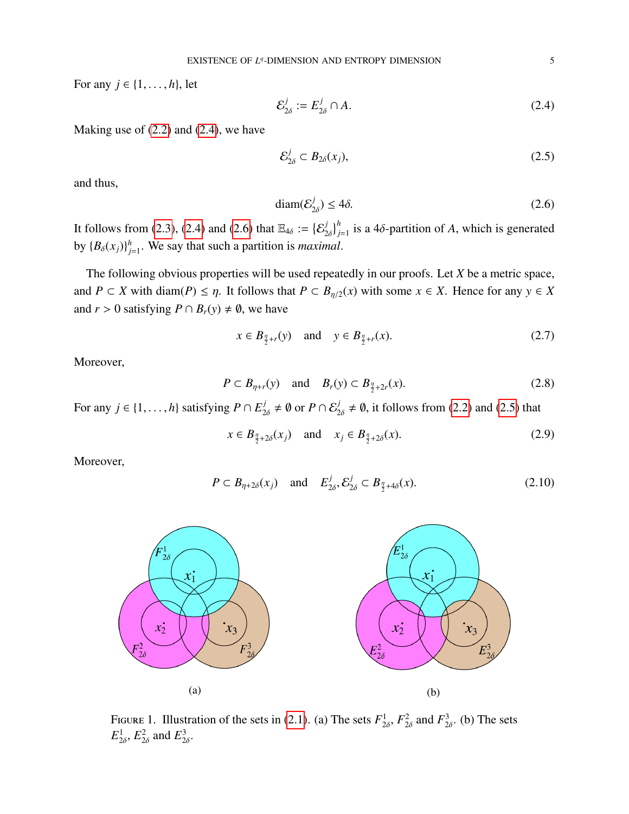For any  $j \in \{1, \ldots, h\}$ , let

<span id="page-4-1"></span>
$$
\mathcal{E}_{2\delta}^j := E_{2\delta}^j \cap A. \tag{2.4}
$$

Making use of  $(2.2)$  and  $(2.4)$ , we have

<span id="page-4-3"></span>
$$
\mathcal{E}_{2\delta}^j \subset B_{2\delta}(x_j),\tag{2.5}
$$

and thus,

<span id="page-4-2"></span>
$$
diam(\mathcal{E}_{2\delta}^j) \le 4\delta. \tag{2.6}
$$

It follows from [\(2.3\)](#page-3-3), [\(2.4\)](#page-4-1) and [\(2.6\)](#page-4-2) that  $\mathbb{E}_{4\delta} := \{ \mathcal{E}_2^j \}$  $2\delta$  $b_{j=1}^{h}$  is a 4 $\delta$ -partition of *A*, which is generated by  ${B_\delta(x_j)}_j^h$  $j_{j=1}^h$ . We say that such a partition is *maximal*.

The following obvious properties will be used repeatedly in our proofs. Let *X* be a metric space, and *P* ⊂ *X* with diam(*P*) ≤  $\eta$ . It follows that *P* ⊂ *B*<sub> $\eta/2$ </sub>(*x*) with some *x* ∈ *X*. Hence for any *y* ∈ *X* and  $r > 0$  satisfying  $P \cap B_r(y) \neq \emptyset$ , we have

<span id="page-4-5"></span>
$$
x \in B_{\frac{\eta}{2}+r}(y)
$$
 and  $y \in B_{\frac{\eta}{2}+r}(x)$ . (2.7)

Moreover,

<span id="page-4-7"></span>
$$
P \subset B_{\eta+r}(y)
$$
 and  $B_r(y) \subset B_{\frac{\eta}{2}+2r}(x)$ . (2.8)

For any  $j \in \{1, ..., h\}$  satisfying  $P \cap E_{2\delta}^j \neq \emptyset$  or  $P \cap E_{2\delta}^j \neq \emptyset$ , it follows from [\(2.2\)](#page-3-2) and [\(2.5\)](#page-4-3) that

<span id="page-4-4"></span>
$$
x \in B_{\frac{\eta}{2} + 2\delta}(x_j) \quad \text{and} \quad x_j \in B_{\frac{\eta}{2} + 2\delta}(x). \tag{2.9}
$$

Moreover,

<span id="page-4-6"></span>
$$
P \subset B_{\eta+2\delta}(x_j) \quad \text{and} \quad E^j_{2\delta}, \mathcal{E}^j_{2\delta} \subset B_{\frac{\eta}{2}+4\delta}(x). \tag{2.10}
$$

<span id="page-4-0"></span>

FIGURE 1. Illustration of the sets in  $(2.1)$ . (a) The sets  $F_2^1$  $\frac{1}{2\delta}$ ,  $F_2^2$  $\frac{2}{2\delta}$  and  $F_2^3$  $\frac{3}{2\delta}$ . (b) The sets  $E_2^1$  $\frac{1}{2\delta}$ ,  $E_2^2$  $\frac{2}{2\delta}$  and  $E_2^3$  $\frac{3}{2\delta}$ .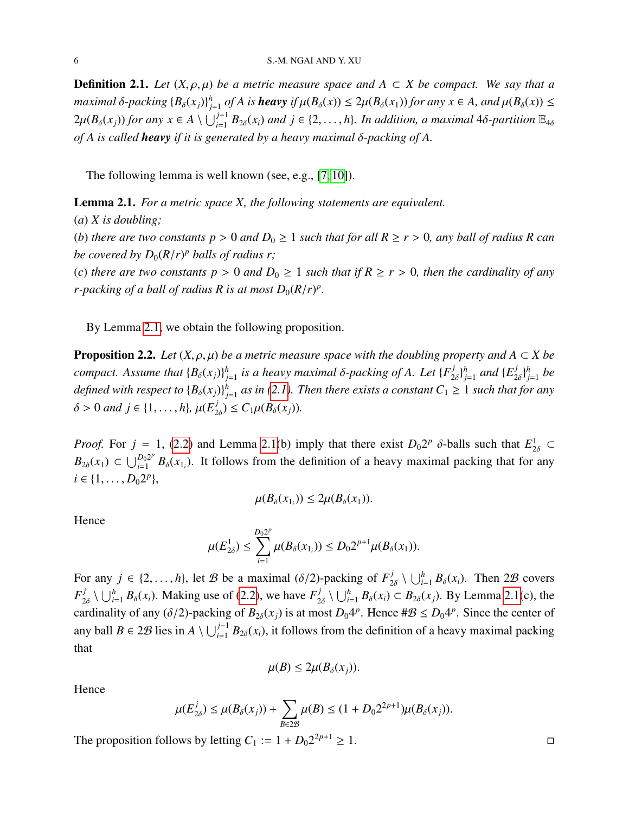**Definition 2.1.** *Let*  $(X, \rho, \mu)$  *be a metric measure space and*  $A \subset X$  *be compact. We say that a maximal* δ-packing  ${B_\delta(x_j)}^h_j$ *f*<sub>*j*</sub>=1</sub> *of A is heavy if*  $\mu(B_\delta(x)) \leq 2\mu(B_\delta(x_1))$  *for any*  $x \in A$ *, and*  $\mu(B_\delta(x)) \leq$  $2\mu(B_\delta(x_j))$  *for any*  $x \in A \setminus \bigcup_{i=1}^{j-1} B_{2\delta}(x_i)$  *and*  $j \in \{2, \ldots, h\}$ *. In addition, a maximal* 4 $\delta$ -partition  $\mathbb{E}_{4\delta}$ *of A is called heavy if it is generated by a heavy maximal* δ*-packing of A.*

The following lemma is well known (see, e.g., [\[7,](#page-24-6) [10\]](#page-24-7)).

<span id="page-5-0"></span>Lemma 2.1. *For a metric space X, the following statements are equivalent.*

(*a*) *X is doubling;* (*b*) *there are two constants*  $p > 0$  *and*  $D_0 \ge 1$  *such that for all*  $R \ge r > 0$ *, any ball of radius* R *can be covered by*  $D_0(R/r)^p$  *balls of radius r;*<br>(c) *them sustant p*  $\geq 0$  *m*<sup>*l*</sup> *D* (*c*) *there are two constants*  $p > 0$  *and*  $D_0 \ge 1$  *such that if*  $R \ge r > 0$ *, then the cardinality of any r*-packing of a ball of radius R is at most  $D_0(R/r)^p$ .

By Lemma [2.1,](#page-5-0) we obtain the following proposition.

<span id="page-5-1"></span>**Proposition 2.2.** *Let*  $(X, \rho, \mu)$  *be a metric measure space with the doubling property and*  $A \subset X$  *be compact.* Assume that  ${B_\delta(x_j)}^h_j$ *j*=1 *is a heavy maximal* δ*-packing of A. Let* {*<sup>F</sup> j*  $\begin{matrix} j \\ 2\delta \end{matrix}$  $\begin{matrix} j \\ j \\ k \end{matrix}$  $_{j=1}^h$  and  $\{E_2^j\}$  $\begin{matrix} j \\ 2\delta \end{matrix}$ *j*<br>*h j*=1 *be defined with respect to*  $\{B_\delta(x_j)\}_j^h$  $j_{j=1}^h$  as in [\(2.1\)](#page-3-4). Then there exists a constant  $C_1 \geq 1$  such that for any  $\delta > 0$  and  $j \in \{1, ..., h\}$ ,  $\mu(E_2^j)$  $C_2(\chi_2) \leq C_1 \mu(B_\delta(x_j)).$ 

*Proof.* For  $j = 1$ , [\(2.2\)](#page-3-2) and Lemma [2.1\(](#page-5-0)b) imply that there exist  $D_0 2^p \delta$ -balls such that  $E_{2\delta}^1 \subset$ <br> $P_0(\epsilon)$ ,  $\epsilon + p_0 2^p \delta$ ,  $\epsilon$  by the following from the definition of a homogeneous localize that for such  $B_{2\delta}(x_1) \subset \bigcup_{i=1}^{D_0 2^p}$  $B_0^{D_0}$  *B*<sub> $\delta$ </sub> $(x_{1_i})$ . It follows from the definition of a heavy maximal packing that for any  $i \in \{1, \ldots, D_0 2^p\},\$ 

$$
\mu(B_{\delta}(x_{1_i})) \leq 2\mu(B_{\delta}(x_1)).
$$

Hence

$$
\mu(E_{2\delta}^1) \leq \sum_{i=1}^{D_0 2^p} \mu(B_\delta(x_{1_i})) \leq D_0 2^{p+1} \mu(B_\delta(x_1)).
$$

For any  $j \in \{2, ..., h\}$ , let B be a maximal ( $\delta/2$ )-packing of  $F_{2\delta}^j \setminus \bigcup_{i=1}^h B_{\delta}(x_i)$ . Then 2B covers  $F_{2\delta}^j \setminus \bigcup_{i=1}^h B_\delta(x_i)$ . Making use of (2.2), we have  $F_{2\delta}^j \setminus \bigcup_{i=1}^h B_\delta(x_i)$  $\bigcup_{i=1}^{j} B_{\delta}(x_i)$ . Making use of [\(2.2\)](#page-3-2), we have  $F_2^j$  $\bigcup_{2\delta}^j$  ∖  $\bigcup_{i=1}^h$  *B*<sub>δ</sub>(*x<sub>i</sub>*) ⊂ *B*<sub>2δ</sub>(*x<sub>j</sub>*). By Lemma [2.1\(](#page-5-0)c), the cardinality of any ( $\delta/2$ )-packing of  $B_{2\delta}(x_j)$  is at most  $D_04^p$ . Hence  $\#\mathcal{B} \le D_04^p$ . Since the center of any ball *B* ∈ 2*B* lies in *A*  $\setminus \bigcup_{i=1}^{j-1} B_{2\delta}(x_i)$ , it follows from the definition of a heavy maximal packing that

$$
\mu(B)\leq 2\mu(B_\delta(x_j)).
$$

Hence

$$
\mu(E_{2\delta}^j) \le \mu(B_{\delta}(x_j)) + \sum_{B \in 2\mathcal{B}} \mu(B) \le (1 + D_0 2^{2p+1}) \mu(B_{\delta}(x_j)).
$$

The proposition follows by letting  $C_1 := 1 + D_0 2^{2p+1} \ge 1$ .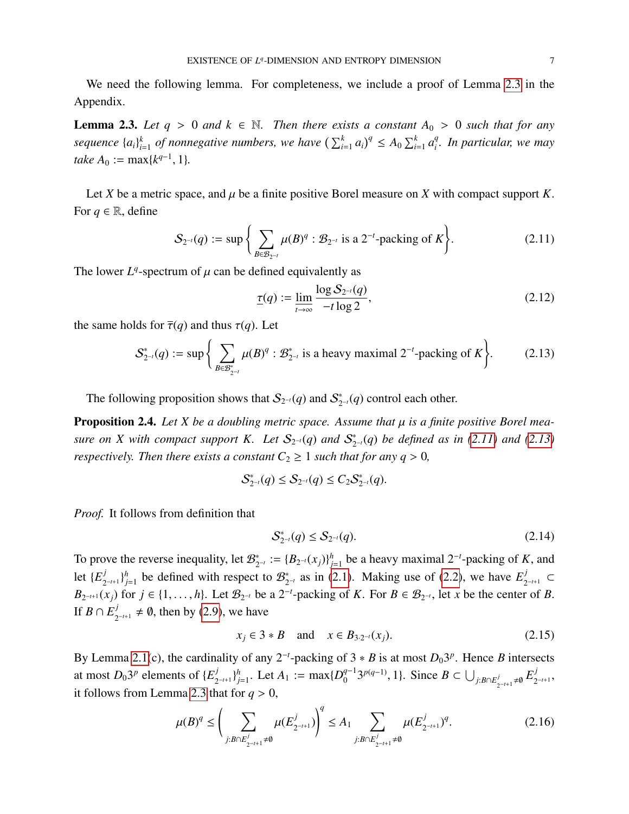We need the following lemma. For completeness, we include a proof of Lemma [2.3](#page-6-0) in the Appendix.

<span id="page-6-0"></span>**Lemma 2.3.** Let  $q > 0$  and  $k \in \mathbb{N}$ . Then there exists a constant  $A_0 > 0$  such that for any *sequence* {*ai*} *k k*<sub>*i*=1</sub> of nonnegative numbers, we have  $\left(\sum_{i=1}^{k} a_i\right)^q \leq A_0 \sum_{i=1}^{k} a_i^q$ *i . In particular, we may take*  $A_0 := \max\{k^{q-1}, 1\}.$ 

Let *X* be a metric space, and  $\mu$  be a finite positive Borel measure on *X* with compact support *K*. For  $q \in \mathbb{R}$ , define

<span id="page-6-1"></span>
$$
S_{2^{-t}}(q) := \sup \left\{ \sum_{B \in \mathcal{B}_{2^{-t}}} \mu(B)^q : \mathcal{B}_{2^{-t}} \text{ is a } 2^{-t} \text{-packing of } K \right\}. \tag{2.11}
$$

The lower  $L^q$ -spectrum of  $\mu$  can be defined equivalently as

<span id="page-6-7"></span>
$$
\underline{\tau}(q) := \lim_{t \to \infty} \frac{\log S_{2^{-t}}(q)}{-t \log 2},\tag{2.12}
$$

the same holds for  $\overline{\tau}(q)$  and thus  $\tau(q)$ . Let

<span id="page-6-2"></span>
$$
\mathcal{S}_{2^{-t}}^*(q) := \sup \left\{ \sum_{B \in \mathcal{B}_{2^{-t}}^*} \mu(B)^q : \mathcal{B}_{2^{-t}}^* \text{ is a heavy maximal } 2^{-t} \text{-packing of } K \right\}. \tag{2.13}
$$

The following proposition shows that  $S_{2^{-t}}(q)$  and  $S_2^*$  $\int_{2^{-t}}^{*}(q)$  control each other.

<span id="page-6-6"></span>**Proposition 2.4.** Let X be a doubling metric space. Assume that  $\mu$  is a finite positive Borel mea*sure on X with compact support K. Let*  $\mathcal{S}_{2^{-t}}(q)$  and  $\mathcal{S}_2^*$ 2 <sup>−</sup>*t*(*q*) *be defined as in [\(2.11\)](#page-6-1) and [\(2.13\)](#page-6-2) respectively. Then there exists a constant*  $C_2 \geq 1$  *such that for any*  $q > 0$ *,* 

$$
\mathcal{S}_{2^{-t}}^*(q) \leq \mathcal{S}_{2^{-t}}(q) \leq C_2 \mathcal{S}_{2^{-t}}^*(q).
$$

*Proof.* It follows from definition that

<span id="page-6-5"></span>
$$
S_{2^{-t}}^*(q) \le S_{2^{-t}}(q). \tag{2.14}
$$

To prove the reverse inequality, let  $\mathcal{B}_2^*$  $C_{2^{-t}}^* := \{B_{2^{-t}}(x_j)\}_{j=0}^h$ *h*<sub>j−1</sub> be a heavy maximal 2<sup>-*t*</sup>-packing of *K*, and let  $\{E^j_\gamma\}$  $\int_{2^{-t+1}}^{j} \}^{h}_{j}$  $j_{j=1}^h$  be defined with respect to  $\mathcal{B}_2^*$  $_{2^{-t}}^*$  as in [\(2.1\)](#page-3-4). Making use of [\(2.2\)](#page-3-2), we have  $E_2^j$ 2 <sup>−</sup>*t*+<sup>1</sup> ⊂ *B*<sub>2</sub><sup>−*t*+1</sub>(*x<sub>j</sub>*) for *j* ∈ {1, ...,*h*}. Let  $\mathcal{B}_{2^{-t}}$  be a 2<sup>−*t*</sup>-packing of *K*. For *B* ∈  $\mathcal{B}_{2^{-t}}$ , let *x* be the center of *B*.</sup> If  $B \cap E^j_\gamma$  $j_{2^{-t+1}}$  ≠ 0, then by [\(2.9\)](#page-4-4), we have

<span id="page-6-3"></span>
$$
x_j \in 3 * B
$$
 and  $x \in B_{3 \cdot 2^{-t}}(x_j)$ . (2.15)

By Lemma [2.1\(](#page-5-0)c), the cardinality of any  $2^{-t}$ -packing of  $3 * B$  is at most  $D_0 3^p$ . Hence *B* intersects at most  $D_0 3^p$  elements of  $\{E_2^j\}$  $\int_{2^{-t+1}}^{j} \}^{h}_{j}$  $j_{=1}$  Let *A*<sub>1</sub> := max{ $D_0^{q-1}$  $B \subset \bigcup_{j:B \cap E_{2^{-t+1}}^j \neq \emptyset} E_2^j$ 2 −*t*+1 , it follows from Lemma [2.3](#page-6-0) that for  $q > 0$ ,

<span id="page-6-4"></span>
$$
\mu(B)^q \le \left(\sum_{j:B \cap E_{2^{-t+1}}^j \neq \emptyset} \mu(E_{2^{-t+1}}^j)\right)^q \le A_1 \sum_{j:B \cap E_{2^{-t+1}}^j \neq \emptyset} \mu(E_{2^{-t+1}}^j)^q. \tag{2.16}
$$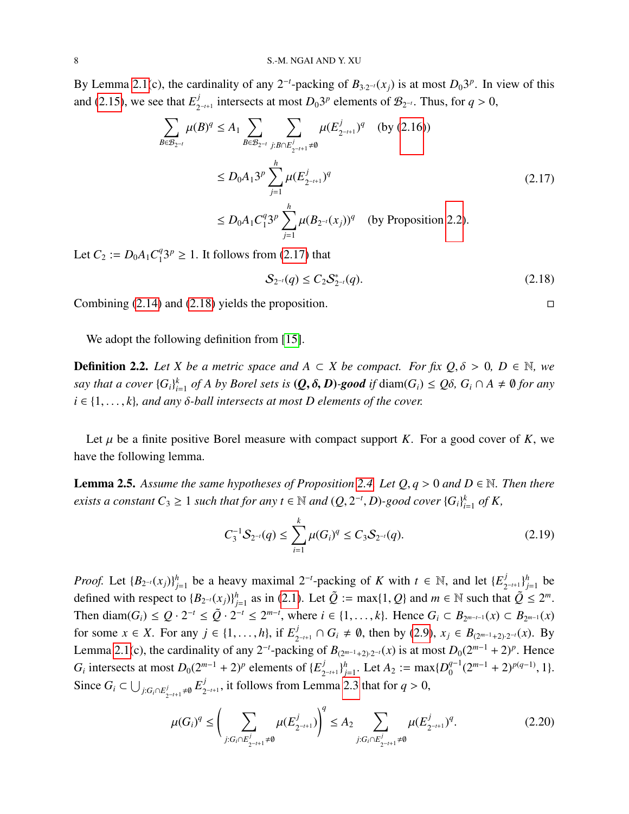By Lemma [2.1\(](#page-5-0)c), the cardinality of any 2<sup>-*t*</sup>-packing of  $B_{3 \cdot 2^{-t}}(x_j)$  is at most  $D_0 3^p$ . In view of this and [\(2.15\)](#page-6-3), we see that  $E_2^j$  $L_{2^{-t+1}}^{j}$  intersects at most  $D_0 3^p$  elements of  $\mathcal{B}_{2^{-t}}$ . Thus, for  $q > 0$ ,

<span id="page-7-0"></span>
$$
\sum_{B \in \mathcal{B}_{2^{-t}}} \mu(B)^q \le A_1 \sum_{B \in \mathcal{B}_{2^{-t}}}\sum_{j:B \cap E_{2^{-t+1}}^j \ne \emptyset} \mu(E_{2^{-t+1}}^j)^q \quad \text{(by (2.16))}
$$
\n
$$
\le D_0 A_1 3^p \sum_{j=1}^h \mu(E_{2^{-t+1}}^j)^q
$$
\n
$$
\le D_0 A_1 C_1^q 3^p \sum_{j=1}^h \mu(B_{2^{-t}}(x_j))^q \quad \text{(by Proposition 2.2).}
$$
\n(2.17)

Let  $C_2 := D_0 A_1 C_1^q$  $^{q}_{1}3^{p} \geq 1$ . It follows from [\(2.17\)](#page-7-0) that

<span id="page-7-1"></span>
$$
S_{2^{-t}}(q) \le C_2 S_{2^{-t}}^*(q). \tag{2.18}
$$

Combining  $(2.14)$  and  $(2.18)$  yields the proposition.

We adopt the following definition from [\[15\]](#page-25-3).

**Definition 2.2.** Let *X* be a metric space and *A* ⊂ *X* be compact. For fix  $Q, \delta > 0$ , D ∈ N, we *say that a cover*  $\{G_i\}_{i=1}^k$  $\int_{i=1}^{k}$  *of A by Borel sets is* (*Q*,  $\delta$ , *D*)*-good if* diam( $G$ <sup>*i*</sup>)  $\leq Q\delta$ ,  $G$ <sup>*i*</sup> ∩ *A*  $\neq \emptyset$  *for any*  $i \in \{1, \ldots, k\}$ , and any  $\delta$ -ball intersects at most D elements of the cover.

Let  $\mu$  be a finite positive Borel measure with compact support *K*. For a good cover of *K*, we have the following lemma.

<span id="page-7-3"></span>**Lemma 2.5.** Assume the same hypotheses of Proposition [2.4.](#page-6-6) Let  $Q, q > 0$  and  $D \in \mathbb{N}$ . Then there *exists a constant*  $C_3 \geq 1$  *such that for any*  $t \in \mathbb{N}$  *and*  $(Q, 2^{-t}, D)$ *-good cover*  $\{G_i\}_{i \in I}^k$  $\int_{i=1}^k$  of **K**,

<span id="page-7-4"></span>
$$
C_3^{-1}S_{2^{-t}}(q) \le \sum_{i=1}^k \mu(G_i)^q \le C_3S_{2^{-t}}(q). \tag{2.19}
$$

*Proof.* Let  ${B_{2^{-t}}(x_j)}$  $j_{j=1}$  be a heavy maximal 2<sup>-*t*</sup>-packing of *K* with *t* ∈ N, and let  $\{E_2^{j}\}$  $\binom{j}{2^{-t+1}}$   $\binom{h}{j}$  $j=1}^h$  be defined with respect to  ${B_{2^{-t}}(x_j)}^h$ *j*=1 as in [\(2.1\)](#page-3-4). Let  $\tilde{Q} := \max\{1, Q\}$  and  $m \in \mathbb{N}$  such that  $\tilde{Q} \leq 2^m$ . Then diam( $G_i$ )  $\le Q \cdot 2^{-t} \le \tilde{Q} \cdot 2^{-t} \le 2^{m-t}$ , where  $i \in \{1, ..., k\}$ . Hence  $G_i \subset B_{2^{m-t-1}}(x) \subset B_{2^{m-1}}(x)$ for some  $x \in X$ . For any  $j \in \{1, ..., h\}$ , if  $E_2^j$ <br>**Letter 2.1(a)** the continuities of any 2<sup>-t</sup> angle  $\sum_{2^{-t+1}}^{j}$  ∩ *G*<sub>*i*</sub> ≠ Ø, then by [\(2.9\)](#page-4-4), *x*<sub>*j*</sub> ∈ *B*<sub>(2<sup>*m*−1</sup>+2)⋅2<sup>-*t*</sup>(*x*). By</sub> Lemma [2.1\(](#page-5-0)c), the cardinality of any 2<sup>-*t*</sup>-packing of  $B_{(2^{m-1}+2),2^{-t}}(x)$  is at most  $D_0(2^{m-1}+2)^p$ . Hence *G*<sup>*i*</sup> intersects at most  $D_0(2^{m-1} + 2)^p$  elements of  $\{E_2^j\}$  $\binom{j}{2^{-t+1}}$   $\binom{h}{j}$ *h*<sub>2</sub> := max $\{D_0^{q-1}\}$  $j_0^{q-1}(2^{m-1}+2)^{p(q-1)}, 1$ . Since  $G_i \subset \bigcup_{j: G_i \cap E_{2^{-t+1}}^j \neq \emptyset} E_2^j$  $\int_{2^{-t+1}}^{J}$ , it follows from Lemma [2.3](#page-6-0) that for  $q > 0$ ,

<span id="page-7-2"></span>
$$
\mu(G_i)^q \le \bigg(\sum_{j:G_i \cap E_{2^{-t+1}}^j \neq \emptyset} \mu(E_{2^{-t+1}}^j)\bigg)^q \le A_2 \sum_{j:G_i \cap E_{2^{-t+1}}^j \neq \emptyset} \mu(E_{2^{-t+1}}^j)^q. \tag{2.20}
$$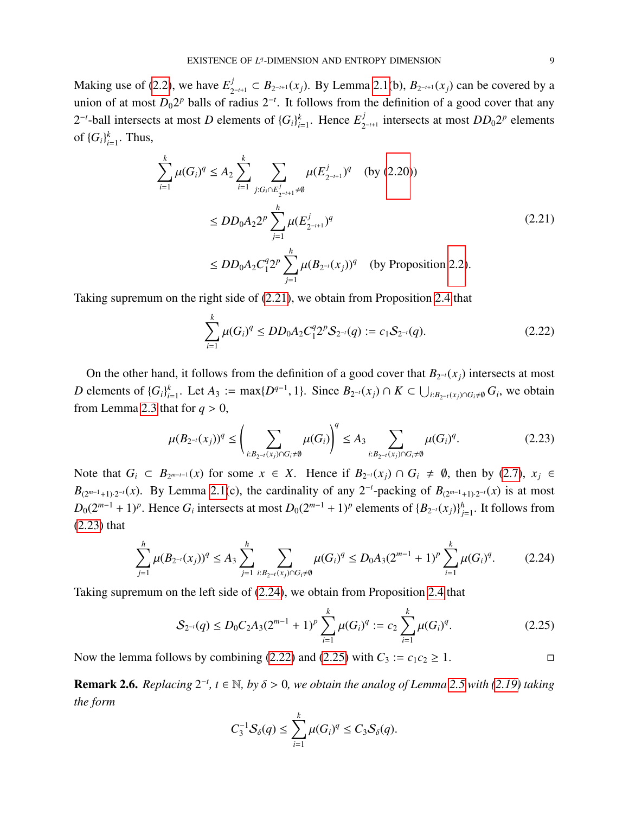Making use of [\(2.2\)](#page-3-2), we have  $E_2^j$  $B_{2^{-t+1}}$  ⊂  $B_{2^{-t+1}}(x_j)$ . By Lemma [2.1\(](#page-5-0)b),  $B_{2^{-t+1}}(x_j)$  can be covered by a union of at most  $D_0 2^p$  balls of radius  $2^{-t}$ . It follows from the definition of a good cover that any  $2^{-t}$ -ball intersects at most *D* elements of  $\{G_i\}_{i=1}^k$  $_{i=1}^k$ . Hence  $E_2^j$  $\int_{2^{-t+1}}^{j}$  intersects at most  $DD_02^p$  elements of  $\{G_i\}_{i}^k$  $_{i=1}^k$ . Thus,

<span id="page-8-0"></span>
$$
\sum_{i=1}^{k} \mu(G_i)^q \le A_2 \sum_{i=1}^{k} \sum_{j: G_i \cap E_{2^{-i+1}}^j \ne 0} \mu(E_{2^{-i+1}}^j)^q \quad \text{(by (2.20))}
$$
\n
$$
\le DD_0 A_2 2^p \sum_{j=1}^{h} \mu(E_{2^{-i+1}}^j)^q
$$
\n
$$
\le DD_0 A_2 C_1^q 2^p \sum_{j=1}^{h} \mu(B_{2^{-i}}(x_j))^q \quad \text{(by Proposition 2.2).}
$$
\n(2.21)

Taking supremum on the right side of [\(2.21\)](#page-8-0), we obtain from Proposition [2.4](#page-6-6) that

<span id="page-8-3"></span>
$$
\sum_{i=1}^{k} \mu(G_i)^q \leq DD_0 A_2 C_1^q 2^p S_{2^{-i}}(q) := c_1 S_{2^{-i}}(q). \tag{2.22}
$$

On the other hand, it follows from the definition of a good cover that  $B_{2^{-t}}(x_j)$  intersects at most *D* elements of  ${G_i}_{i}^k$ *k*<sub>*i*=1</sub></sub>. Let *A*<sub>3</sub> := max{ $D^{q-1}$ , 1}. Since  $B_{2^{-t}}(x_j) \cap K \subset \bigcup_{i:B_{2^{-t}}(x_j)\cap G_i \neq \emptyset} G_i$ , we obtain from Lemma [2.3](#page-6-0) that for  $q > 0$ ,

<span id="page-8-1"></span>
$$
\mu(B_{2^{-i}}(x_j))^q \le \left(\sum_{i:B_{2^{-i}}(x_j)\cap G_i \neq \emptyset} \mu(G_i)\right)^q \le A_3 \sum_{i:B_{2^{-i}}(x_j)\cap G_i \neq \emptyset} \mu(G_i)^q.
$$
\n(2.23)

Note that  $G_i$  ⊂  $B_{2^{m-t-1}}(x)$  for some  $x \in X$ . Hence if  $B_{2^{-t}}(x_j) \cap G_i \neq \emptyset$ , then by [\(2.7\)](#page-4-5),  $x_j \in$  $B_{(2^{m-1}+1)\cdot 2^{-t}}(x)$ . By Lemma [2.1\(](#page-5-0)c), the cardinality of any 2<sup>-*t*</sup>-packing of  $B_{(2^{m-1}+1)\cdot 2^{-t}}(x)$  is at most  $D_0(2^{m-1} + 1)^p$ . Hence  $G_i$  intersects at most  $D_0(2^{m-1} + 1)^p$  elements of  ${B_{2^{-t}}(x_j)}_i^h$  $j=1$ . It follows from [\(2.23\)](#page-8-1) that

<span id="page-8-2"></span>
$$
\sum_{j=1}^{h} \mu(B_{2^{-t}}(x_j))^q \le A_3 \sum_{j=1}^{h} \sum_{i:B_{2^{-t}}(x_j)\cap G_i \neq \emptyset} \mu(G_i)^q \le D_0 A_3 (2^{m-1} + 1)^p \sum_{i=1}^{k} \mu(G_i)^q. \tag{2.24}
$$

Taking supremum on the left side of [\(2.24\)](#page-8-2), we obtain from Proposition [2.4](#page-6-6) that

<span id="page-8-4"></span>
$$
S_{2^{-i}}(q) \le D_0 C_2 A_3 (2^{m-1} + 1)^p \sum_{i=1}^k \mu(G_i)^q := c_2 \sum_{i=1}^k \mu(G_i)^q.
$$
 (2.25)

Now the lemma follows by combining [\(2.22\)](#page-8-3) and [\(2.25\)](#page-8-4) with  $C_3 := c_1 c_2 \ge 1$ .

<span id="page-8-5"></span>**Remark 2.6.** *Replacing*  $2^{-t}$ ,  $t \in \mathbb{N}$ , *by*  $\delta > 0$ , we obtain the analog of Lemma [2.5](#page-7-3) with [\(2.19\)](#page-7-4) taking *the form*

$$
C_3^{-1}S_\delta(q)\leq \sum_{i=1}^k\mu(G_i)^q\leq C_3S_\delta(q).
$$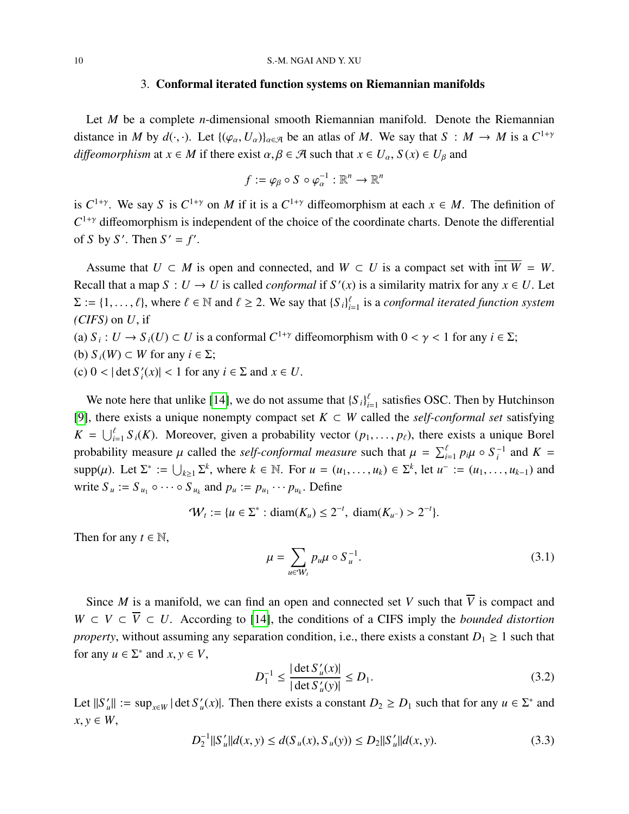## 3. Conformal iterated function systems on Riemannian manifolds

<span id="page-9-0"></span>Let *M* be a complete *n*-dimensional smooth Riemannian manifold. Denote the Riemannian distance in *M* by  $d(\cdot, \cdot)$ . Let  $\{(\varphi_{\alpha}, U_{\alpha})\}_{\alpha \in \mathcal{A}}$  be an atlas of *M*. We say that  $S : M \to M$  is a  $C^{1+\gamma}$ *diffeomorphism* at  $x \in M$  if there exist  $\alpha, \beta \in \mathcal{A}$  such that  $x \in U_\alpha$ ,  $S(x) \in U_\beta$  and

$$
f := \varphi_{\beta} \circ S \circ \varphi_{\alpha}^{-1} : \mathbb{R}^{n} \to \mathbb{R}^{n}
$$

is  $C^{1+\gamma}$ . We say *S* is  $C^{1+\gamma}$  on *M* if it is a  $C^{1+\gamma}$  diffeomorphism at each  $x \in M$ . The definition of  $C^{1+\gamma}$  diffeomorphism is independent of the choice of the coordinate charts. Denote the differential of *S* by *S'*. Then  $S' = f'$ .

Assume that  $U \subset M$  is open and connected, and  $W \subset U$  is a compact set with  $\overline{\text{int } W} = W$ . Recall that a map  $S: U \to U$  is called *conformal* if  $S'(x)$  is a similarity matrix for any  $x \in U$ . Let  $\Sigma := \{1, \ldots, \ell\}$ , where  $\ell \in \mathbb{N}$  and  $\ell \ge 2$ . We say that  $\{S_i\}_{i=1}^{\ell}$  is a *conformal iterated function system (CIFS)* on *U*, if

(a)  $S_i: U \to S_i(U) \subset U$  is a conformal  $C^{1+\gamma}$  diffeomorphism with  $0 < \gamma < 1$  for any  $i \in \Sigma$ ; (b)  $S_i(W)$  ⊂ *W* for any  $i \in \Sigma$ ;

(c)  $0 < |\det S_i|$  $f_i(x)$  < 1 for any  $i \in \Sigma$  and  $x \in U$ .

We note here that unlike [\[14\]](#page-25-2), we do not assume that  ${S_i}_{i=1}^{\ell}$  satisfies OSC. Then by Hutchinson [\[9\]](#page-24-8), there exists a unique nonempty compact set *K* ⊂ *W* called the *self-conformal set* satisfying  $K = \bigcup_{i=1}^{l} S_i(K)$ . Moreover, given a probability vector  $(p_1, \ldots, p_\ell)$ , there exists a unique Borel probability measure  $\mu$  called the *self-conformal measure* such that  $\mu = \sum_{i=1}^{\ell} p_i \mu \circ S_i^{-1}$  and  $K =$  $\text{supp}(\mu)$ . Let  $\Sigma^* := \bigcup_{k \geq 1} \Sigma^k$ , where  $k \in \mathbb{N}$ . For  $u = (u_1, \dots, u_k) \in \Sigma^k$ , let  $u^- := (u_1, \dots, u_{k-1})$  and write  $S_u := S_{u_1} \circ \cdots \circ S_{u_k}$  and  $p_u := p_{u_1} \cdots p_{u_k}$ . Define

$$
\mathcal{W}_t := \{ u \in \Sigma^* : \text{diam}(K_u) \leq 2^{-t}, \text{ diam}(K_{u^-}) > 2^{-t} \}.
$$

Then for any  $t \in \mathbb{N}$ ,

<span id="page-9-3"></span>
$$
\mu = \sum_{u \in W_t} p_u \mu \circ S_u^{-1}.
$$
\n(3.1)

Since *M* is a manifold, we can find an open and connected set *V* such that  $\overline{V}$  is compact and  $W \subset V \subset \overline{V} \subset U$ . According to [\[14\]](#page-25-2), the conditions of a CIFS imply the *bounded distortion property*, without assuming any separation condition, i.e., there exists a constant  $D_1 \geq 1$  such that for any  $u \in \Sigma^*$  and  $x, y \in V$ ,

<span id="page-9-2"></span>
$$
D_1^{-1} \le \frac{|\det S'_u(x)|}{|\det S'_u(y)|} \le D_1.
$$
 (3.2)

Let  $||S'_u|| := \sup_{x \in W} |\det S'_u(x)|$ . Then there exists a constant  $D_2 \ge D_1$  such that for any  $u \in \Sigma^*$  and  $x, y \in W$ ,

<span id="page-9-1"></span>
$$
D_2^{-1}||S_u'||d(x, y) \le d(S_u(x), S_u(y)) \le D_2||S_u'||d(x, y). \tag{3.3}
$$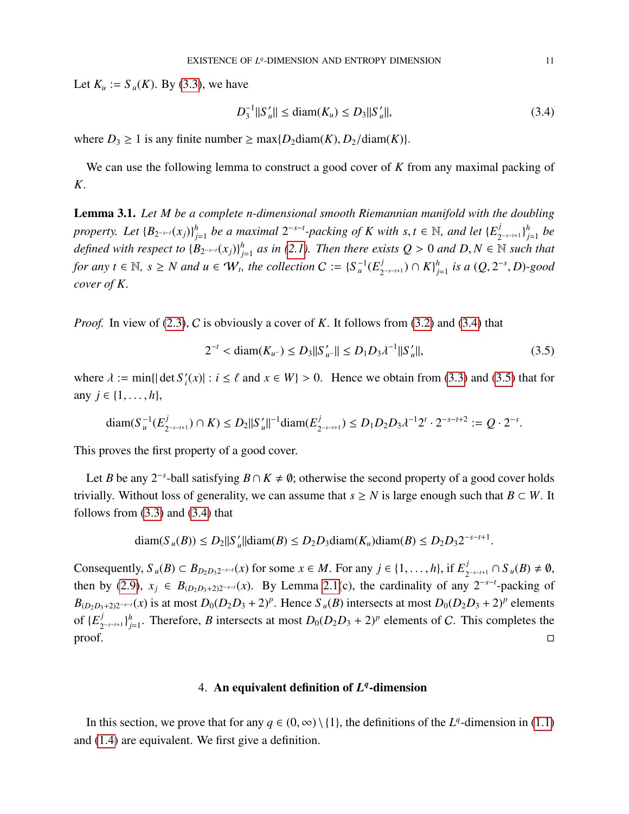Let  $K_u := S_u(K)$ . By [\(3.3\)](#page-9-1), we have

<span id="page-10-1"></span>
$$
D_3^{-1}||S_u'|| \le \text{diam}(K_u) \le D_3||S_u'||,\tag{3.4}
$$

where  $D_3 \ge 1$  is any finite number  $\ge \max\{D_2 \text{diam}(K), D_2 / \text{diam}(K)\}.$ 

We can use the following lemma to construct a good cover of *K* from any maximal packing of *K*.

<span id="page-10-3"></span>Lemma 3.1. *Let M be a complete n-dimensional smooth Riemannian manifold with the doubling property.* Let  ${B_{2^{-s-t}}(x_j)}$ <sup>*h*</sup><sub>*i*</sub> *f*<sub>1</sub> *be a maximal*  $2^{-s-t}$ -*packing of K with s*, *t* ∈ N*, and let* { $E_2^j$ 2 −*s*−*t*+1 } *h j*=1 *be defined with respect to*  $\{B_{2^{-s-t}}(x_j)\}_{j=t}^h$  $\sum_{j=1}^{h}$  *as in [\(2.1\)](#page-3-4). Then there exists Q* > 0 *and D*, *N* ∈ N *such that for any*  $t \in \mathbb{N}$ ,  $s \geq N$  and  $u \in W_t$ , the collection  $C := \{S_u^{-1}(E_2^j) \}$ 2 −*s*−*t*+1 ) ∩ *K*} *h j*=1 *is a* (*Q*, <sup>2</sup> −*s* , *<sup>D</sup>*)*-good cover of K.*

*Proof.* In view of [\(2.3\)](#page-3-3), C is obviously a cover of K. It follows from [\(3.2\)](#page-9-2) and [\(3.4\)](#page-10-1) that

<span id="page-10-2"></span>
$$
2^{-t} < \text{diam}(K_{u^-}) \le D_3 \|S'_{u^-}\| \le D_1 D_3 \lambda^{-1} \|S'_{u}\|,\tag{3.5}
$$

where  $\lambda := \min\{|\det S_i\}$  $f_i(x)$  : *i*  $\leq \ell$  and  $x \in W$  > 0. Hence we obtain from [\(3.3\)](#page-9-1) and [\(3.5\)](#page-10-2) that for any *j* ∈ {1, . . . , *h*},

$$
\text{diam}(S_u^{-1}(E_{2^{-s-t+1}}^j) \cap K) \le D_2 ||S_u'||^{-1} \text{diam}(E_{2^{-s-t+1}}^j) \le D_1 D_2 D_3 \lambda^{-1} 2^t \cdot 2^{-s-t+2} := Q \cdot 2^{-s}
$$

This proves the first property of a good cover.

Let *B* be any 2<sup>-*s*</sup>-ball satisfying  $B \cap K \neq \emptyset$ ; otherwise the second property of a good cover holds trivially. Without loss of generality, we can assume that  $s \geq N$  is large enough such that  $B \subset W$ . It follows from  $(3.3)$  and  $(3.4)$  that

$$
\text{diam}(S_u(B)) \le D_2 ||S_u'|| \text{diam}(B) \le D_2 D_3 \text{diam}(K_u) \text{diam}(B) \le D_2 D_3 2^{-s-t+1}
$$

Consequently,  $S_u(B) \subset B_{D_2D_32^{-s-t}}(x)$  for some  $x \in M$ . For any  $j \in \{1, ..., h\}$ , if  $E_2^j$  $j$ <sub>2−*s*−*t*+1</sub> ∩  $S$ <sub>*u*</sub>(*B*) ≠  $\emptyset$ , then by [\(2.9\)](#page-4-4),  $x_j \in B_{(D_2D_3+2)2^{-s-t}}(x)$ . By Lemma [2.1\(](#page-5-0)c), the cardinality of any  $2^{-s-t}$ -packing of  $B_{(D_2D_3+2)2^{-s-t}}(x)$  is at most  $D_0(D_2D_3+2)^p$ . Hence  $S_u(B)$  intersects at most  $D_0(D_2D_3+2)^p$  elements of  $\{E^j_\gamma\}$ 2 −*s*−*t*+1 } *h*  $D_{0}(D_{2}D_{3} + 2)^{p}$  elements of C. This completes the  $\Box$ 

# 4. An equivalent definition of  $L<sup>q</sup>$ -dimension

<span id="page-10-0"></span>In this section, we prove that for any  $q \in (0, \infty) \setminus \{1\}$ , the definitions of the *L*<sup>q</sup>-dimension in [\(1.1\)](#page-0-1) and [\(1.4\)](#page-1-0) are equivalent. We first give a definition.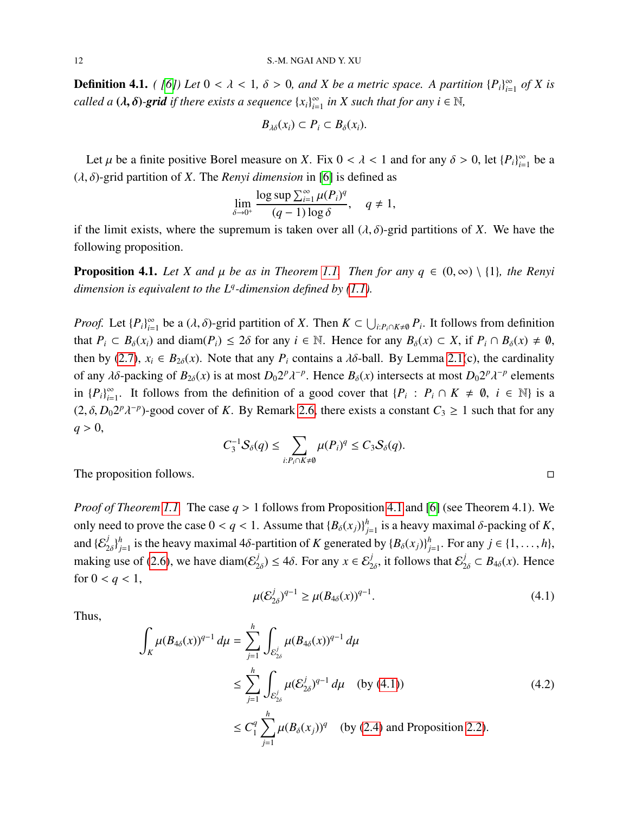**Definition 4.1.** *( [\[6\]](#page-24-2)) Let*  $0 < \lambda < 1$ *,*  $\delta > 0$ *, and X be a metric space. A partition*  $\{P_i\}_{i=1}^{\infty}$  $\sum_{i=1}^{\infty}$  of X is *called a* ( $\lambda$ ,  $\delta$ )-grid if there exists a sequence  $\{x_i\}_{i=1}^{\infty}$  $\sum_{i=1}^{\infty}$  *in X such that for any i*  $\in \mathbb{N}$ *,* 

$$
B_{\lambda\delta}(x_i)\subset P_i\subset B_{\delta}(x_i).
$$

Let  $\mu$  be a finite positive Borel measure on *X*. Fix  $0 < \lambda < 1$  and for any  $\delta > 0$ , let  $\{P_i\}_{i=0}^{\infty}$  $\sum_{i=1}^{\infty}$  be a (λ, δ)-grid partition of *<sup>X</sup>*. The *Renyi dimension* in [\[6\]](#page-24-2) is defined as

$$
\lim_{\delta \to 0^+} \frac{\log \sup \sum_{i=1}^{\infty} \mu(P_i)^q}{(q-1) \log \delta}, \quad q \neq 1,
$$

if the limit exists, where the supremum is taken over all  $(\lambda, \delta)$ -grid partitions of *X*. We have the following proposition.

<span id="page-11-0"></span>**Proposition 4.1.** *Let X and*  $\mu$  *be as in Theorem [1.1.](#page-2-0) Then for any*  $q \in (0, \infty) \setminus \{1\}$ *, the Renyi dimension is equivalent to the L<sup>q</sup> -dimension defined by [\(1.1\)](#page-0-1).*

*Proof.* Let  ${P_i}_{i=0}^{\infty}$  $\sum_{i=1}^{\infty}$  be a  $(\lambda, \delta)$ -grid partition of *X*. Then  $K \subset \bigcup_{i:P_i \cap K \neq \emptyset} P_i$ . It follows from definition that  $P_i \subset B_\delta(x_i)$  and diam( $P_i$ )  $\leq 2\delta$  for any  $i \in \mathbb{N}$ . Hence for any  $B_\delta(x) \subset X$ , if  $P_i \cap B_\delta(x) \neq \emptyset$ , then by [\(2.7\)](#page-4-5),  $x_i \in B_{2\delta}(x)$ . Note that any  $P_i$  contains a  $\lambda \delta$ -ball. By Lemma [2.1\(](#page-5-0)c), the cardinality of any  $\lambda \delta$ -packing of  $B_{2\delta}(x)$  is at most  $D_0 2^p \lambda^{-p}$ . Hence  $B_{\delta}(x)$  intersects at most  $D_0 2^p \lambda^{-p}$  elements in  $\{P_i\}_{i=1}^{\infty}$ . It follows from the definition of a good cover that  $\{P_i : P_i \cap K \neq \emptyset\}$  $\sum_{i=1}^{\infty}$ . It follows from the definition of a good cover that  $\{P_i : P_i \cap K \neq \emptyset, i \in \mathbb{N}\}\)$  is a  $\sum_{i=1}^{\infty} P_i = 0$  $(2, \delta, D_0 2^p)$ <sup>*-p*</sup>)-good cover of *K*. By Remark [2.6,](#page-8-5) there exists a constant  $C_3$  ≥ 1 such that for any  $q > 0$ ,

$$
C_3^{-1}S_\delta(q) \leq \sum_{i:P_i \cap K \neq \emptyset} \mu(P_i)^q \leq C_3S_\delta(q).
$$

The proposition follows.  $\Box$ 

*Proof of Theorem [1.1.](#page-2-0)* The case *<sup>q</sup>* > 1 follows from Proposition [4.1](#page-11-0) and [\[6\]](#page-24-2) (see Theorem 4.1). We only need to prove the case  $0 < q < 1$ . Assume that  ${B_\delta(x_j)}^h_j$  $j_{j=1}^h$  is a heavy maximal  $\delta$ -packing of *K*, and  $\{\mathcal{E}_2^j\}$  $\begin{matrix} j \\ 2\delta \end{matrix}$ *h*  $\sum_{j=1}^{h}$  is the heavy maximal 4 $\delta$ -partition of *K* generated by  $\{B_\delta(x_j)\}_{j=1}^{h}$ *h*<sub>*j*=1</sub>. For any *j* ∈ {1, ..., *h*}, making use of [\(2.6\)](#page-4-2), we have diam( $\mathcal{E}_2^j$  $\mathcal{L}_{2\delta}^j$ )  $\leq 4\delta$ . For any  $x \in \mathcal{E}_{2\delta}^j$ , it follows that  $\mathcal{E}_{2\delta}^j \subset B_{4\delta}(x)$ . Hence for  $0 < q < 1$ ,

<span id="page-11-1"></span>
$$
\mu(\mathcal{E}_{2\delta}^j)^{q-1} \ge \mu(B_{4\delta}(x))^{q-1}.\tag{4.1}
$$

Thus,

<span id="page-11-2"></span>
$$
\int_{K} \mu(B_{4\delta}(x))^{q-1} d\mu = \sum_{j=1}^{h} \int_{\mathcal{E}_{2\delta}^{j}} \mu(B_{4\delta}(x))^{q-1} d\mu
$$
\n
$$
\leq \sum_{j=1}^{h} \int_{\mathcal{E}_{2\delta}^{j}} \mu(\mathcal{E}_{2\delta}^{j})^{q-1} d\mu \quad \text{(by (4.1))}
$$
\n
$$
\leq C_{1}^{q} \sum_{j=1}^{h} \mu(B_{\delta}(x_{j}))^{q} \quad \text{(by (2.4) and Proposition 2.2).}
$$
\n(4.2)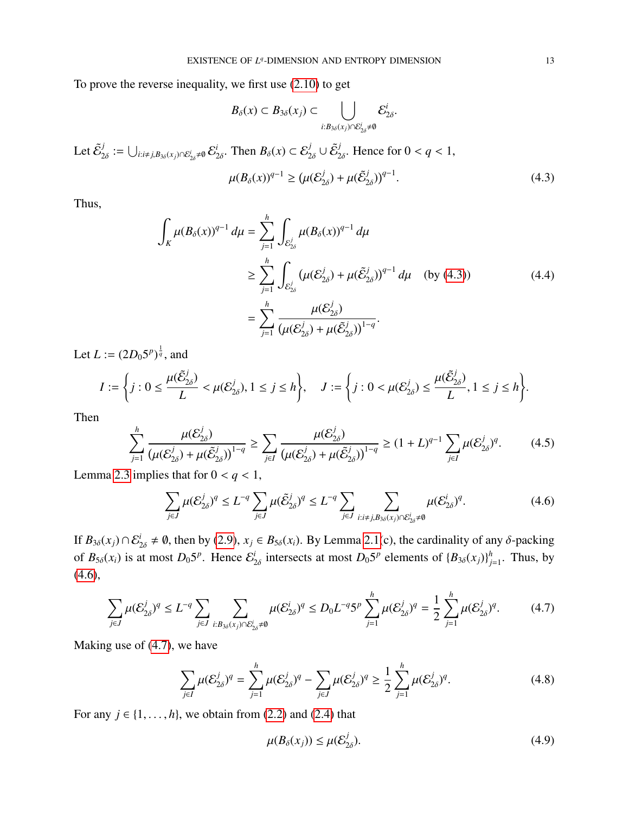To prove the reverse inequality, we first use [\(2.10\)](#page-4-6) to get

$$
B_{\delta}(x) \subset B_{3\delta}(x_j) \subset \bigcup_{i:B_{3\delta}(x_j)\cap \mathcal{E}_{2\delta}^i\neq \emptyset} \mathcal{E}_{2\delta}^i
$$

Let  $\tilde{\mathcal{E}}^j_\gamma$  $\sum_{2\delta}^j:=\bigcup_{i:i\neq j, B_{3\delta}(x_j)\cap \mathcal{E}_{2\delta}^i\neq\emptyset} \mathcal{E}_2^i$  $\mathcal{L}_{2\delta}^i$ . Then  $B_{\delta}(x) \subset \mathcal{E}_{2\delta}^j \cup \tilde{\mathcal{E}}_2^j$  $\frac{d}{2\delta}$ . Hence for  $0 < q < 1$ ,

<span id="page-12-0"></span>
$$
\mu(B_{\delta}(x))^{q-1} \ge (\mu(\mathcal{E}_{2\delta}^j) + \mu(\tilde{\mathcal{E}}_{2\delta}^j))^{q-1}.
$$
\n(4.3)

Thus,

<span id="page-12-3"></span>
$$
\int_{K} \mu(B_{\delta}(x))^{q-1} d\mu = \sum_{j=1}^{h} \int_{\mathcal{E}_{2\delta}^{j}} \mu(B_{\delta}(x))^{q-1} d\mu
$$
\n
$$
\geq \sum_{j=1}^{h} \int_{\mathcal{E}_{2\delta}^{j}} (\mu(\mathcal{E}_{2\delta}^{j}) + \mu(\tilde{\mathcal{E}}_{2\delta}^{j}))^{q-1} d\mu \quad \text{(by (4.3))}
$$
\n
$$
= \sum_{j=1}^{h} \frac{\mu(\mathcal{E}_{2\delta}^{j})}{(\mu(\mathcal{E}_{2\delta}^{j}) + \mu(\tilde{\mathcal{E}}_{2\delta}^{j}))^{1-q}}.
$$
\n(4.4)

Let  $L := (2D_0 5^p)^{\frac{1}{q}}$ , and

$$
I := \left\{ j : 0 \le \frac{\mu(\tilde{\mathcal{E}}_{2\delta}^j)}{L} < \mu(\mathcal{E}_{2\delta}^j), 1 \le j \le h \right\}, \quad J := \left\{ j : 0 < \mu(\mathcal{E}_{2\delta}^j) \le \frac{\mu(\tilde{\mathcal{E}}_{2\delta}^j)}{L}, 1 \le j \le h \right\}.
$$

Then

<span id="page-12-4"></span>
$$
\sum_{j=1}^{h} \frac{\mu(\mathcal{E}_{2\delta}^{j})}{(\mu(\mathcal{E}_{2\delta}^{j}) + \mu(\tilde{\mathcal{E}}_{2\delta}^{j}))^{1-q}} \ge \sum_{j\in I} \frac{\mu(\mathcal{E}_{2\delta}^{j})}{(\mu(\mathcal{E}_{2\delta}^{j}) + \mu(\tilde{\mathcal{E}}_{2\delta}^{j}))^{1-q}} \ge (1+L)^{q-1} \sum_{j\in I} \mu(\mathcal{E}_{2\delta}^{j})^{q}.
$$
 (4.5)

Lemma [2.3](#page-6-0) implies that for  $0 < q < 1$ ,

<span id="page-12-1"></span>
$$
\sum_{j\in J} \mu(\mathcal{E}_{2\delta}^j)^q \le L^{-q} \sum_{j\in J} \mu(\tilde{\mathcal{E}}_{2\delta}^j)^q \le L^{-q} \sum_{j\in J} \sum_{i:i\ne j, B_{3\delta}(x_j)\cap \mathcal{E}_{2\delta}^i \ne \emptyset} \mu(\mathcal{E}_{2\delta}^i)^q.
$$
\n(4.6)

If  $B_{3\delta}(x_j) \cap \mathcal{E}_{2\delta}^i \neq \emptyset$ , then by [\(2.9\)](#page-4-4),  $x_j \in B_{5\delta}(x_i)$ . By Lemma [2.1\(](#page-5-0)c), the cardinality of any  $\delta$ -packing of  $B_{5\delta}(x_i)$  is at most  $D_0 5^p$ . Hence  $\mathcal{E}_2^i$  $\frac{i}{2\delta}$  intersects at most  $D_0 5^p$  elements of  $\{B_{3\delta}(x_j)\}_{j=1}^h$  $j_{j=1}^h$ . Thus, by [\(4.6\)](#page-12-1),

<span id="page-12-2"></span>
$$
\sum_{j\in J} \mu(\mathcal{E}_{2\delta}^j)^q \le L^{-q} \sum_{j\in J} \sum_{i:B_{3\delta}(x_j)\cap\mathcal{E}_{2\delta}^i \ne \emptyset} \mu(\mathcal{E}_{2\delta}^i)^q \le D_0 L^{-q} 5^p \sum_{j=1}^h \mu(\mathcal{E}_{2\delta}^j)^q = \frac{1}{2} \sum_{j=1}^h \mu(\mathcal{E}_{2\delta}^j)^q. \tag{4.7}
$$

Making use of [\(4.7\)](#page-12-2), we have

<span id="page-12-5"></span>
$$
\sum_{j\in I} \mu(\mathcal{E}_{2\delta}^j)^q = \sum_{j=1}^h \mu(\mathcal{E}_{2\delta}^j)^q - \sum_{j\in J} \mu(\mathcal{E}_{2\delta}^j)^q \ge \frac{1}{2} \sum_{j=1}^h \mu(\mathcal{E}_{2\delta}^j)^q.
$$
 (4.8)

For any  $j \in \{1, \ldots, h\}$ , we obtain from [\(2.2\)](#page-3-2) and [\(2.4\)](#page-4-1) that

<span id="page-12-6"></span>
$$
\mu(B_{\delta}(x_j)) \leq \mu(\mathcal{E}_{2\delta}^j). \tag{4.9}
$$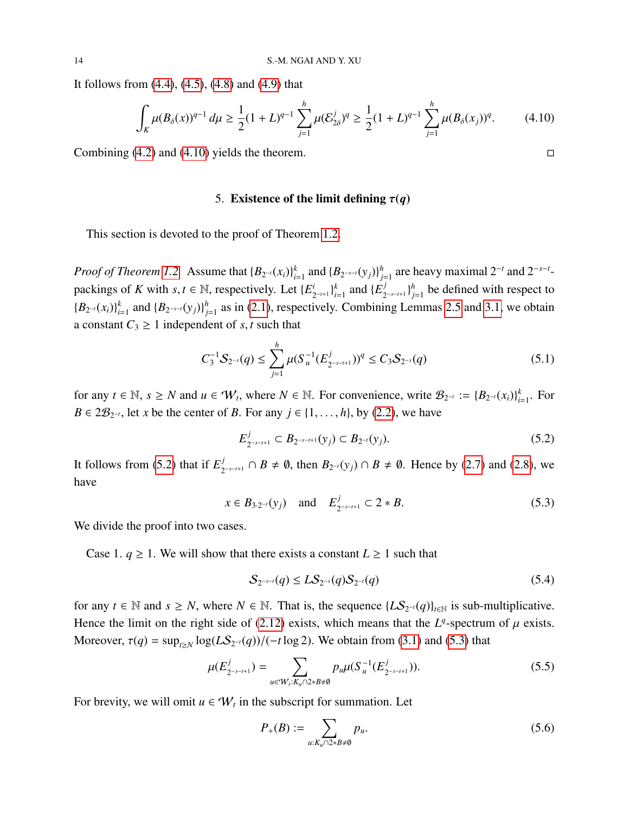It follows from [\(4.4\)](#page-12-3), [\(4.5\)](#page-12-4), [\(4.8\)](#page-12-5) and [\(4.9\)](#page-12-6) that

<span id="page-13-1"></span>
$$
\int_{K} \mu(B_{\delta}(x))^{q-1} d\mu \ge \frac{1}{2} (1+L)^{q-1} \sum_{j=1}^{h} \mu(\mathcal{E}_{2\delta}^{j})^{q} \ge \frac{1}{2} (1+L)^{q-1} \sum_{j=1}^{h} \mu(B_{\delta}(x_{j}))^{q}.
$$
 (4.10)

<span id="page-13-0"></span>Combining  $(4.2)$  and  $(4.10)$  yields the theorem.

### 5. Existence of the limit defining  $\tau(q)$

This section is devoted to the proof of Theorem [1.2.](#page-2-1)

*Proof of Theorem [1.2.](#page-2-1)* Assume that  ${B_{2^{-t}}(x_i)}_{i=1}^k$ *k*<sub>i=1</sub> and {*B*<sub>2</sub>−*s*−*t*(*y*<sub>*j*</sub>)}<sup>*h*</sup><sub>*j*</sub> *h*<sub>j=1</sub> are heavy maximal 2<sup>−*t*</sup></sup> and 2<sup>−*s*−*t*</sup>packings of *K* with *s*, *t* ∈ N, respectively. Let  $\{E_2^i\}$  $_{2^{-t+1}}^{i}$  }  $_{i}^{k}$  $_{i=1}^k$  and  $\{E_2^j\}$ 2 −*s*−*t*+1 } *h*  $j_{j=1}^h$  be defined with respect to  ${B_{2^{-t}}(x_i)}_i^k$ *k*<sub>*i*=1</sub> and {*B*<sub>2</sub>−*s*−*t*</sup>(*y*<sub>*j*</sub>)}<sup>*h*</sup><sub>*j*</sub>  $j_{j=1}^h$  as in [\(2.1\)](#page-3-4), respectively. Combining Lemmas [2.5](#page-7-3) and [3.1,](#page-10-3) we obtain a constant  $C_3 \geq 1$  independent of *s*, *t* such that

<span id="page-13-6"></span>
$$
C_3^{-1}S_{2^{-s}}(q) \le \sum_{j=1}^h \mu(S_u^{-1}(E_{2^{-s-t+1}}^j))^q \le C_3S_{2^{-s}}(q)
$$
\n(5.1)

for any  $t \in \mathbb{N}$ ,  $s \ge N$  and  $u \in W_t$ , where  $N \in \mathbb{N}$ . For convenience, write  $\mathcal{B}_{2^{-t}} := \{B_{2^{-t}}(x_i)\}_{i=1}^k$  $_{i=1}^k$ . For *B* ∈  $2\mathcal{B}_{2^{-t}}$ , let *x* be the center of *B*. For any  $j \in \{1, ..., h\}$ , by [\(2.2\)](#page-3-2), we have

<span id="page-13-2"></span>
$$
E_{2^{-s-t+1}}^j \subset B_{2^{-s-t+1}}(y_j) \subset B_{2^{-t}}(y_j). \tag{5.2}
$$

It follows from [\(5.2\)](#page-13-2) that if  $E_2^j$  $\frac{1}{2}$ <sup>*s*</sup>−*s*−*t*+1</sub> ∩ *B*  $\neq$  Ø, then  $B_{2^{-t}}(y_j)$  ∩ *B*  $\neq$  Ø. Hence by [\(2.7\)](#page-4-5) and [\(2.8\)](#page-4-7), we have

<span id="page-13-3"></span>
$$
x \in B_{3 \cdot 2^{-t}}(y_j)
$$
 and  $E_{2^{-s-t+1}}^j \subset 2 * B.$  (5.3)

We divide the proof into two cases.

Case 1.  $q \ge 1$ . We will show that there exists a constant  $L \ge 1$  such that

<span id="page-13-7"></span>
$$
S_{2^{-s-t}}(q) \le LS_{2^{-s}}(q)S_{2^{-t}}(q) \tag{5.4}
$$

for any  $t \in \mathbb{N}$  and  $s \geq N$ , where  $N \in \mathbb{N}$ . That is, the sequence  $\{LS_{2^{-t}}(q)\}_{t \in \mathbb{N}}$  is sub-multiplicative. Hence the limit on the right side of [\(2.12\)](#page-6-7) exists, which means that the  $L^q$ -spectrum of  $\mu$  exists. Moreover,  $\tau(q) = \sup_{t \ge N} \log(LS_{2^{-t}}(q)) / (-t \log 2)$ . We obtain from [\(3.1\)](#page-9-3) and [\(5.3\)](#page-13-3) that

<span id="page-13-4"></span>
$$
\mu(E_{2^{-s-t+1}}^j) = \sum_{u \in W_t: K_u \cap 2 * B \neq \emptyset} p_u \mu(S_u^{-1}(E_{2^{-s-t+1}}^j)).
$$
\n(5.5)

For brevity, we will omit  $u \in W_t$  in the subscript for summation. Let

<span id="page-13-5"></span>
$$
P_{+}(B) := \sum_{u:K_u \cap 2 \ast B \neq \emptyset} p_u.
$$
 (5.6)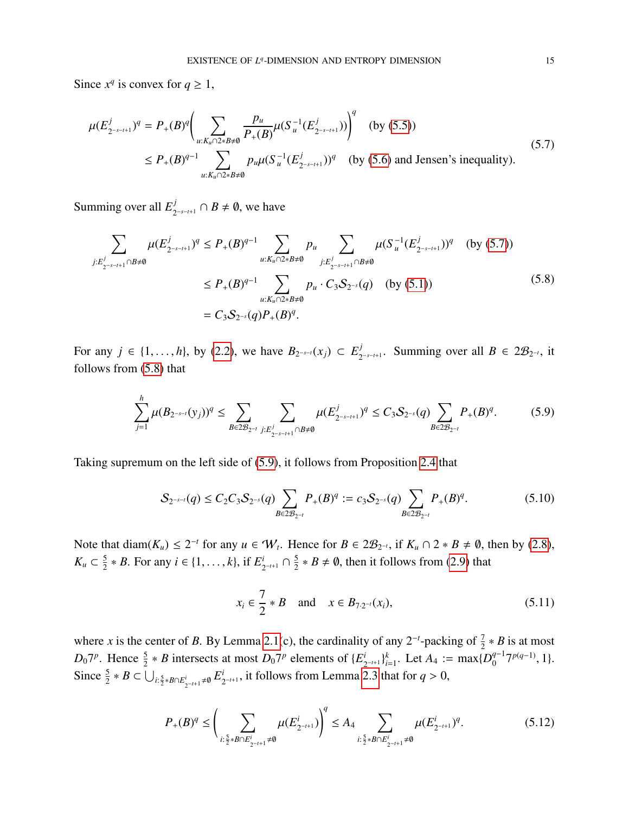Since  $x^q$  is convex for  $q \ge 1$ ,

<span id="page-14-0"></span>
$$
\mu(E_{2^{-s-t+1}}^j)^q = P_+(B)^q \bigg( \sum_{u: K_u \cap 2* B \neq \emptyset} \frac{p_u}{P_+(B)} \mu(S_u^{-1}(E_{2^{-s-t+1}}^j)) \bigg)^q \quad \text{(by (5.5))}
$$
\n
$$
\leq P_+(B)^{q-1} \sum_{u: K_u \cap 2* B \neq \emptyset} p_u \mu(S_u^{-1}(E_{2^{-s-t+1}}^j))^q \quad \text{(by (5.6) and Jensen's inequality)}.
$$
\n(5.7)

Summing over all  $E_2^j$  $j$ <sub>2<sup>-*s*−*t*+1</sub></sup> ∩ *B*  $\neq$  Ø, we have</sub>

<span id="page-14-1"></span>
$$
\sum_{j:E_{2^{-s-t+1}}^j \cap B \neq \emptyset} \mu(E_{2^{-s-t+1}}^j)^q \le P_+(B)^{q-1} \sum_{u: K_u \cap 2 * B \neq \emptyset} p_u \sum_{j:E_{2^{-s-t+1}}^j \cap B \neq \emptyset} \mu(S_u^{-1}(E_{2^{-s-t+1}}^j))^q \quad \text{(by (5.7))}
$$
\n
$$
\le P_+(B)^{q-1} \sum_{u: K_u \cap 2 * B \neq \emptyset} p_u \cdot C_3 S_{2^{-s}}(q) \quad \text{(by (5.1))}
$$
\n
$$
= C_3 S_{2^{-s}}(q) P_+(B)^q. \tag{5.8}
$$

For any *j* ∈ {1,...,*h*}, by [\(2.2\)](#page-3-2), we have *B*<sub>2</sub>-*s*−*t*(*x<sub>j</sub>*) ⊂  $E_2^j$  $\sum_{2^{-s-t+1}}^{j}$ . Summing over all *B* ∈ 2 $\mathcal{B}_{2^{-t}}$ , it follows from [\(5.8\)](#page-14-1) that

<span id="page-14-2"></span>
$$
\sum_{j=1}^{h} \mu(B_{2^{-s-t}}(y_j))^q \le \sum_{B \in 2\mathcal{B}_{2^{-t}}}\sum_{j:E_{2^{-s-t+1}}^j \cap B \neq \emptyset} \mu(E_{2^{-s-t+1}}^j)^q \le C_3 \mathcal{S}_{2^{-s}}(q) \sum_{B \in 2\mathcal{B}_{2^{-t}}} P_+(B)^q. \tag{5.9}
$$

Taking supremum on the left side of [\(5.9\)](#page-14-2), it follows from Proposition [2.4](#page-6-6) that

<span id="page-14-5"></span>
$$
S_{2^{-s-t}}(q) \leq C_2 C_3 S_{2^{-s}}(q) \sum_{B \in 2\mathcal{B}_{2^{-t}}} P_+(B)^q := c_3 S_{2^{-s}}(q) \sum_{B \in 2\mathcal{B}_{2^{-t}}} P_+(B)^q.
$$
 (5.10)

Note that diam( $K_u$ )  $\leq 2^{-t}$  for any  $u \in W_t$ . Hence for  $B \in 2\mathcal{B}_{2^{-t}}$ , if  $K_u \cap 2 * B \neq \emptyset$ , then by [\(2.8\)](#page-4-7), *K*<sup>*u*</sup> ⊂  $\frac{5}{2}$  $\frac{5}{2} * B$ . For any  $i \in \{1, ..., k\}$ , if  $E_2^i$  $\frac{i}{2^{-t+1}} \cap \frac{5}{2}$  $\frac{5}{2} * B \neq \emptyset$ , then it follows from [\(2.9\)](#page-4-4) that

<span id="page-14-3"></span>
$$
x_i \in \frac{7}{2} * B
$$
 and  $x \in B_{7 \cdot 2^{-t}}(x_i)$ , (5.11)

where *x* is the center of *B*. By Lemma [2.1\(](#page-5-0)c), the cardinality of any  $2^{-t}$ -packing of  $\frac{7}{2} * B$  is at most  $D_0$ <sup>7*p*</sup>. Hence  $\frac{5}{2} * B$  intersects at most  $D_0$ <sup>7*p*</sup> elements of {*E*<sup>*i*</sup><sub>2</sub>  $\binom{i}{2^{-t+1}}_{i}^{k}$ *k*<sub>i=1</sub>. Let *A*<sub>4</sub> := max $\{D_0^{q-1}\}$ <sup>*q*−1</sup>7<sup>*p*(*q*−1)</sup>, 1}. Since  $\frac{5}{2} * B \subset \bigcup_{i:\frac{5}{2} * B \cap E_{2^{-t+1}}^i \neq \emptyset} E_2^i$  $\sum_{2^{-t+1}}^{t}$ , it follows from Lemma [2.3](#page-6-0) that for  $q > 0$ ,

<span id="page-14-4"></span>
$$
P_{+}(B)^{q} \leq \left(\sum_{i:\frac{5}{2} \ast B \cap E_{2^{-t+1}}^{i} \neq \emptyset} \mu(E_{2^{-t+1}}^{i})\right)^{q} \leq A_{4} \sum_{i:\frac{5}{2} \ast B \cap E_{2^{-t+1}}^{i} \neq \emptyset} \mu(E_{2^{-t+1}}^{i})^{q}.
$$
 (5.12)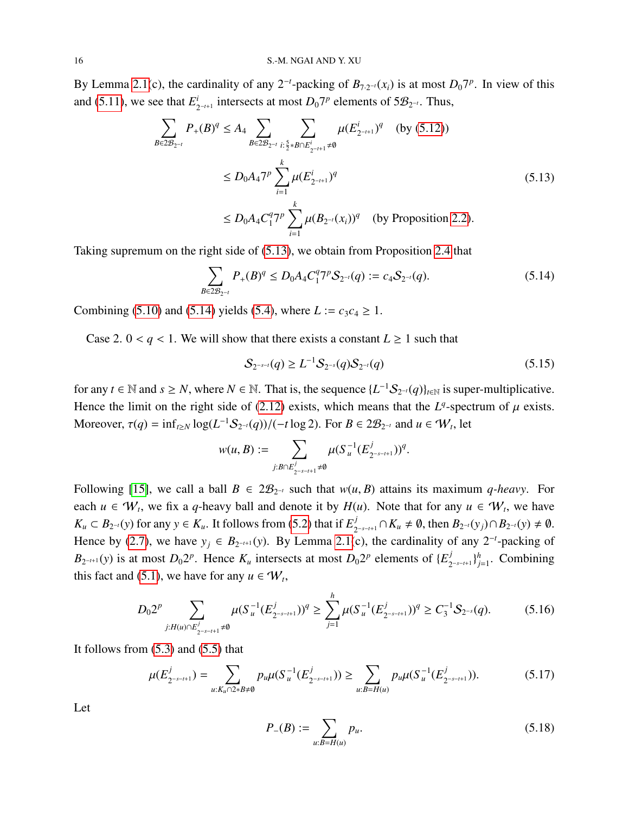By Lemma [2.1\(](#page-5-0)c), the cardinality of any 2<sup>-*t*</sup>-packing of  $B_{7.2^{-t}}(x_i)$  is at most  $D_0 7^p$ . In view of this and [\(5.11\)](#page-14-3), we see that  $E_3^i$  $i_{2^{-t+1}}$  intersects at most *D*<sub>0</sub>7<sup>*p*</sup> elements of 5*B*<sub>2</sub><sup>−*t*</sup>. Thus,

<span id="page-15-0"></span>
$$
\sum_{B \in 2\mathcal{B}_{2^{-t}}} P_{+}(B)^{q} \le A_{4} \sum_{B \in 2\mathcal{B}_{2^{-t}}}\sum_{i:\frac{5}{2} \ast B \cap E_{2^{-t+1}}^{i} \ne \emptyset} \mu(E_{2^{-t+1}}^{i})^{q} \quad \text{(by (5.12))}
$$
\n
$$
\le D_{0}A_{4}7^{p} \sum_{i=1}^{k} \mu(E_{2^{-t+1}}^{i})^{q}
$$
\n
$$
\le D_{0}A_{4}C_{1}^{q}7^{p} \sum_{i=1}^{k} \mu(B_{2^{-t}}(x_{i}))^{q} \quad \text{(by Proposition 2.2).}
$$
\n(5.13)

Taking supremum on the right side of [\(5.13\)](#page-15-0), we obtain from Proposition [2.4](#page-6-6) that

<span id="page-15-1"></span>
$$
\sum_{B \in 2\mathcal{B}_{2^{-t}}} P_+(B)^q \le D_0 A_4 C_1^q 7^p \mathcal{S}_{2^{-t}}(q) := c_4 \mathcal{S}_{2^{-t}}(q). \tag{5.14}
$$

Combining [\(5.10\)](#page-14-5) and [\(5.14\)](#page-15-1) yields [\(5.4\)](#page-13-7), where  $L := c_3 c_4 \ge 1$ .

Case 2.  $0 < q < 1$ . We will show that there exists a constant  $L \ge 1$  such that

<span id="page-15-5"></span>
$$
S_{2^{-s-t}}(q) \ge L^{-1} S_{2^{-s}}(q) S_{2^{-t}}(q)
$$
\n(5.15)

for any *t* ∈ N and *s* ≥ *N*, where *N* ∈ N. That is, the sequence  $\{L^{-1}S_{2^{-t}}(q)\}_{{t \in \mathbb{N}}}$  is super-multiplicative. Hence the limit on the right side of [\(2.12\)](#page-6-7) exists, which means that the  $L^q$ -spectrum of  $\mu$  exists. Moreover,  $\tau(q) = \inf_{t \ge N} \log(L^{-1}S_{2^{-t}}(q)) / (-t \log 2)$ . For  $B \in 2\mathcal{B}_{2^{-t}}$  and  $u \in \mathcal{W}_t$ , let

$$
w(u,B):=\sum_{j:B\cap E_{2^{-s-t+1}}^j\neq\emptyset}\mu(S_u^{-1}(E_{2^{-s-t+1}}^j))^q.
$$

Following [\[15\]](#page-25-3), we call a ball  $B \in 2\mathcal{B}_{2^{-t}}$  such that  $w(u, B)$  attains its maximum *q-heavy*. For each  $u \in W_t$ , we fix a *q*-heavy ball and denote it by  $H(u)$ . Note that for any  $u \in W_t$ , we have  $K_u \subset B_{2^{-t}}(y)$  for any  $y \in K_u$ . It follows from [\(5.2\)](#page-13-2) that if  $E_2^j$  $\sum_{2^{-s-t+1}}^{j}$  ∩  $K_u \neq \emptyset$ , then  $B_{2^{-t}}(y_j)$  ∩  $B_{2^{-t}}(y) \neq \emptyset$ . Hence by [\(2.7\)](#page-4-5), we have  $y_j \in B_{2^{-t+1}}(y)$ . By Lemma [2.1\(](#page-5-0)c), the cardinality of any  $2^{-t}$ -packing of  $B_{2^{-t+1}}(y)$  is at most  $D_0 2^p$ . Hence  $K_u$  intersects at most  $D_0 2^p$  elements of  $\{E_2^j\}$ 2 −*s*−*t*+1 } *h j*=1 . Combining this fact and [\(5.1\)](#page-13-6), we have for any  $u \in W_t$ ,

<span id="page-15-4"></span>
$$
D_0 2^p \sum_{j: H(u) \cap E_{2^{-s-t+1}}^j \neq \emptyset} \mu(S_u^{-1}(E_{2^{-s-t+1}}^j))^q \ge \sum_{j=1}^h \mu(S_u^{-1}(E_{2^{-s-t+1}}^j))^q \ge C_3^{-1} S_{2^{-s}}(q). \tag{5.16}
$$

It follows from  $(5.3)$  and  $(5.5)$  that

<span id="page-15-2"></span>
$$
\mu(E_{2^{-s-t+1}}^j) = \sum_{u: K_u \cap 2 \ast B \neq \emptyset} p_u \mu(S_u^{-1}(E_{2^{-s-t+1}}^j)) \ge \sum_{u: B = H(u)} p_u \mu(S_u^{-1}(E_{2^{-s-t+1}}^j)). \tag{5.17}
$$

Let

<span id="page-15-3"></span>
$$
P_{-}(B) := \sum_{u:B=H(u)} p_u.
$$
\n(5.18)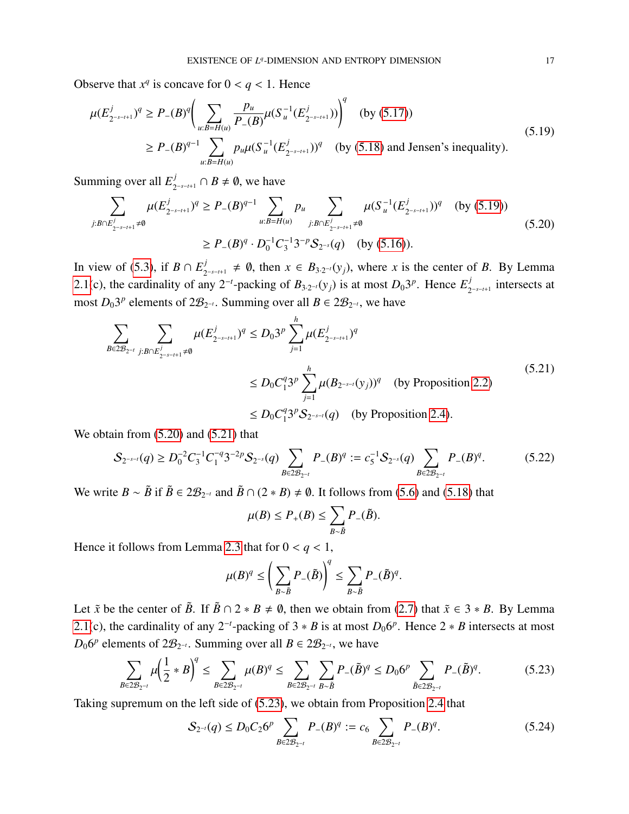Observe that  $x^q$  is concave for  $0 < q < 1$ . Hence

<span id="page-16-0"></span>
$$
\mu(E_{2^{-s-t+1}}^{j})^q \ge P_{-}(B)^q \bigg( \sum_{u:B=H(u)} \frac{p_u}{P_{-}(B)} \mu(S_u^{-1}(E_{2^{-s-t+1}}^{j})) \bigg)^q \text{ (by (5.17))}
$$
\n
$$
\ge P_{-}(B)^{q-1} \sum_{u:B=H(u)} p_u \mu(S_u^{-1}(E_{2^{-s-t+1}}^{j}))^q \text{ (by (5.18) and Jensen's inequality)}.
$$
\n(5.19)

Summing over all  $E_2^j$  $j$ <sub>2<sup>-*s*−*t*+1</sub></sup> ∩ *B*  $\neq$  Ø, we have</sub>

<span id="page-16-1"></span>
$$
\sum_{j:B \cap E_{2^{-s-t+1}}^j \neq \emptyset} \mu(E_{2^{-s-t+1}}^j)^q \ge P_-(B)^{q-1} \sum_{u:B=H(u)} p_u \sum_{j:B \cap E_{2^{-s-t+1}}^j \neq \emptyset} \mu(S_u^{-1}(E_{2^{-s-t+1}}^j))^q \quad \text{(by (5.19))}
$$
\n
$$
\ge P_-(B)^q \cdot D_0^{-1} C_3^{-1} 3^{-p} S_{2^{-s}}(q) \quad \text{(by (5.16))}.
$$
\n(5.20)

In view of [\(5.3\)](#page-13-3), if  $B \cap E_2^j$  $\mathcal{L}_{2^{-s-t+1}}$  ≠ 0, then  $x \in B_{3 \cdot 2^{-t}}(y_j)$ , where *x* is the center of *B*. By Lemma [2.1\(](#page-5-0)c), the cardinality of any 2<sup>-*t*</sup>-packing of  $B_{3 \cdot 2^{-t}}(y_j)$  is at most  $D_0 3^p$ . Hence  $E_2^j$  $\int_{2^{-s-t+1}}^{j}$  intersects at most  $D_0 3^p$  elements of  $2\mathcal{B}_{2^{-t}}$ . Summing over all  $B \in 2\mathcal{B}_{2^{-t}}$ , we have

<span id="page-16-2"></span>
$$
\sum_{B \in 2\mathcal{B}_{2^{-t}}}\sum_{j:B \cap E_{2^{-s-t+1}}^j \neq \emptyset} \mu(E_{2^{-s-t+1}}^j)^q \le D_0 3^p \sum_{j=1}^h \mu(E_{2^{-s-t+1}}^j)^q
$$
\n
$$
\le D_0 C_1^q 3^p \sum_{j=1}^h \mu(B_{2^{-s-t}}(y_j))^q \quad \text{(by Proposition 2.2)}
$$
\n
$$
\le D_0 C_1^q 3^p S_{2^{-s-t}}(q) \quad \text{(by Proposition 2.4)}.
$$
\n
$$
(5.21)
$$

We obtain from  $(5.20)$  and  $(5.21)$  that

<span id="page-16-4"></span>
$$
S_{2^{-s-t}}(q) \ge D_0^{-2} C_3^{-1} C_1^{-q} 3^{-2p} S_{2^{-s}}(q) \sum_{B \in 2\mathcal{B}_{2^{-t}}} P_{-}(B)^q := c_5^{-1} S_{2^{-s}}(q) \sum_{B \in 2\mathcal{B}_{2^{-t}}} P_{-}(B)^q.
$$
 (5.22)

We write  $B \sim \tilde{B}$  if  $\tilde{B} \in 2\mathcal{B}_{2^{-t}}$  and  $\tilde{B} \cap (2 * B) \neq \emptyset$ . It follows from [\(5.6\)](#page-13-5) and [\(5.18\)](#page-15-3) that

$$
\mu(B) \le P_+(B) \le \sum_{B \sim \tilde{B}} P_-(\tilde{B}).
$$

Hence it follows from Lemma [2.3](#page-6-0) that for  $0 < q < 1$ ,

$$
\mu(B)^q \leq \left(\sum_{B \sim \tilde{B}} P_{-}(\tilde{B})\right)^q \leq \sum_{B \sim \tilde{B}} P_{-}(\tilde{B})^q.
$$

Let  $\tilde{x}$  be the center of  $\tilde{B}$ . If  $\tilde{B} \cap 2 * B \neq \emptyset$ , then we obtain from [\(2.7\)](#page-4-5) that  $\tilde{x} \in 3 * B$ . By Lemma [2.1\(](#page-5-0)c), the cardinality of any 2<sup>-t</sup>-packing of 3  $*$  *B* is at most  $D_0 6^p$ . Hence 2  $*$  *B* intersects at most  $D_0 6^p$  elements of  $2\mathcal{B}_{2^{-t}}$ . Summing over all  $B \in 2\mathcal{B}_{2^{-t}}$ , we have

<span id="page-16-3"></span>
$$
\sum_{B \in 2\mathcal{B}_{2^{-l}}} \mu \left(\frac{1}{2} * B\right)^q \le \sum_{B \in 2\mathcal{B}_{2^{-l}}} \mu(B)^q \le \sum_{B \in 2\mathcal{B}_{2^{-l}}} \sum_{B \sim \tilde{B}} P_{-}(\tilde{B})^q \le D_0 6^p \sum_{\tilde{B} \in 2\mathcal{B}_{2^{-l}}} P_{-}(\tilde{B})^q.
$$
 (5.23)

Taking supremum on the left side of [\(5.23\)](#page-16-3), we obtain from Proposition [2.4](#page-6-6) that

<span id="page-16-5"></span>
$$
S_{2^{-t}}(q) \le D_0 C_2 6^p \sum_{B \in 2\mathcal{B}_{2^{-t}}} P_{-}(B)^q := c_6 \sum_{B \in 2\mathcal{B}_{2^{-t}}} P_{-}(B)^q.
$$
 (5.24)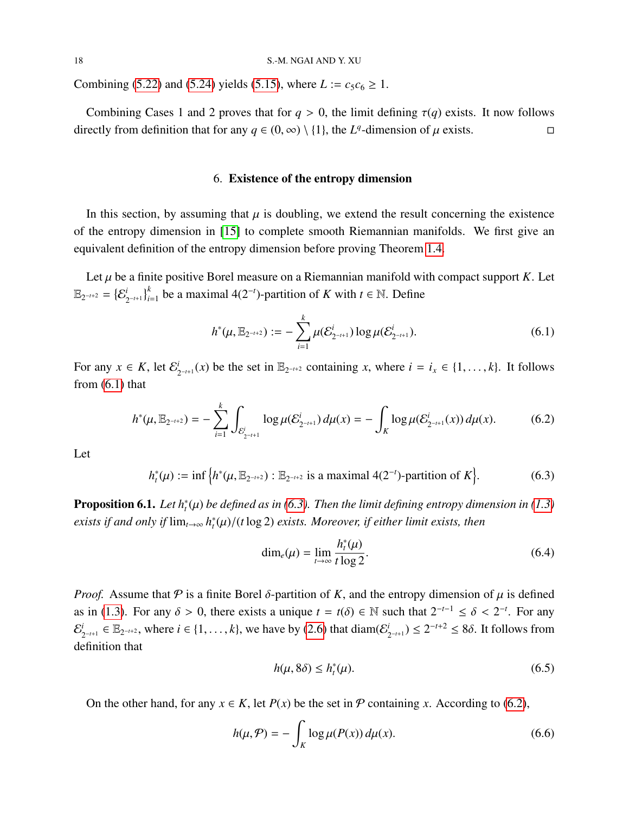Combining [\(5.22\)](#page-16-4) and [\(5.24\)](#page-16-5) yields [\(5.15\)](#page-15-5), where  $L := c_5 c_6 \ge 1$ .

<span id="page-17-0"></span>Combining Cases 1 and 2 proves that for  $q > 0$ , the limit defining  $\tau(q)$  exists. It now follows rectly from definition that for any  $q \in (0, \infty) \setminus \{1\}$ , the  $L^q$ -dimension of  $\mu$  exists. directly from definition that for any *q* ∈ (0, ∞) \ {1}, the *L*<sup>*q*</sup>-dimension of  $\mu$  exists.  $\Box$ 

## 6. Existence of the entropy dimension

In this section, by assuming that  $\mu$  is doubling, we extend the result concerning the existence of the entropy dimension in [\[15\]](#page-25-3) to complete smooth Riemannian manifolds. We first give an equivalent definition of the entropy dimension before proving Theorem [1.4.](#page-3-1)

Let  $\mu$  be a finite positive Borel measure on a Riemannian manifold with compact support  $K$ . Let  $\mathbb{E}_{2^{-t+2}} = \{\mathcal{E}^i_{2^{t}}\}$  $\sum_{2^{-t+1}}^{i}$  be a maximal 4(2<sup>-*t*</sup>)-partition of *K* with *t* ∈ N. Define

<span id="page-17-1"></span>
$$
h^*(\mu, \mathbb{E}_{2^{-t+2}}) := -\sum_{i=1}^k \mu(\mathcal{E}_{2^{-t+1}}^i) \log \mu(\mathcal{E}_{2^{-t+1}}^i).
$$
 (6.1)

For any  $x \in K$ , let  $\mathcal{E}_s^i$  $\sum_{2^{-t+1}}^{i} (x)$  be the set in  $\mathbb{E}_{2^{-t+2}}$  containing *x*, where *i* = *i<sub>x</sub>* ∈ {1, . . . , *k*}. It follows from  $(6.1)$  that

<span id="page-17-3"></span>
$$
h^*(\mu, \mathbb{E}_{2^{-t+2}}) = -\sum_{i=1}^k \int_{\mathcal{E}_{2^{-t+1}}^i} \log \mu(\mathcal{E}_{2^{-t+1}}^i) d\mu(x) = -\int_K \log \mu(\mathcal{E}_{2^{-t+1}}^i(x)) d\mu(x). \tag{6.2}
$$

Let

<span id="page-17-2"></span>
$$
h_t^*(\mu) := \inf \left\{ h^*(\mu, \mathbb{E}_{2^{-t+2}}) : \mathbb{E}_{2^{-t+2}} \text{ is a maximal } 4(2^{-t}) \text{-partition of } K \right\}. \tag{6.3}
$$

<span id="page-17-7"></span>**Proposition 6.1.** *Let*  $h_t^*(\mu)$  *be defined as in* [\(6.3\)](#page-17-2)*. Then the limit defining entropy dimension in* [\(1.3\)](#page-1-1) *exists if and only if* lim*t*→∞ *h* ∗ *t* (µ)/(*<sup>t</sup>* log 2) *exists. Moreover, if either limit exists, then*

<span id="page-17-6"></span>
$$
\dim_e(\mu) = \lim_{t \to \infty} \frac{h_t^*(\mu)}{t \log 2}.
$$
\n(6.4)

*Proof.* Assume that  $\varphi$  is a finite Borel  $\delta$ -partition of *K*, and the entropy dimension of  $\mu$  is defined as in [\(1.3\)](#page-1-1). For any  $\delta > 0$ , there exists a unique  $t = t(\delta) \in \mathbb{N}$  such that  $2^{-t-1} \leq \delta < 2^{-t}$ . For any  $\Omega^i$  and  $\Omega^i$  and  $\Omega^i$  and  $\Omega^i$  and  $\Omega^i$  and  $\Omega^i$  and  $\Omega^i$  and  $\Omega^i$  and  $\Omega^i$  and  $\Omega^i$  and  $\Omega$ E *i*  $\sum_{2^{-t+1}}^{i}$  ∈  $\mathbb{E}_{2^{-t+2}}$ , where  $i \in \{1, ..., k\}$ , we have by [\(2.6\)](#page-4-2) that diam( $\mathcal{E}_{2^{t+1}}^{i}$  $\sum_{2^{-t+1}}^{i}$   $\leq 2^{-t+2} \leq 8\delta$ . It follows from definition that

<span id="page-17-5"></span>
$$
h(\mu, 8\delta) \le h_t^*(\mu). \tag{6.5}
$$

On the other hand, for any  $x \in K$ , let  $P(x)$  be the set in  $P$  containing *x*. According to [\(6.2\)](#page-17-3),

<span id="page-17-4"></span>
$$
h(\mu, \mathcal{P}) = -\int_{K} \log \mu(P(x)) d\mu(x). \tag{6.6}
$$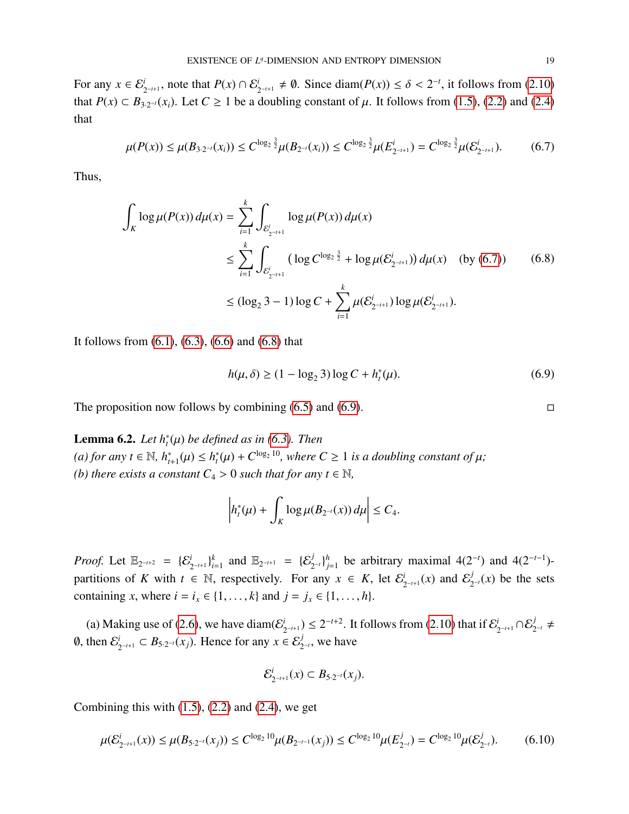For any  $x \in \mathcal{E}^i_{2^{-t+1}}$ , note that  $P(x) \cap \mathcal{E}^i_{2^{-t+1}} \neq \emptyset$ . Since diam( $P(x) \leq \delta < 2^{-t}$ , it follows from [\(2.10\)](#page-4-6) that *P*(*x*) ⊂ *B*<sub>3·2<sup>-*t*</sup>(*x<sub>i</sub>*). Let *C* ≥ 1 be a doubling constant of  $\mu$ . It follows from [\(1.5\)](#page-1-2), [\(2.2\)](#page-3-2) and [\(2.4\)](#page-4-1)</sub> that

<span id="page-18-0"></span>
$$
\mu(P(x)) \le \mu(B_{3\cdot 2^{-t}}(x_i)) \le C^{\log_2 \frac{3}{2}} \mu(B_{2^{-t}}(x_i)) \le C^{\log_2 \frac{3}{2}} \mu(E_{2^{-t+1}}^i) = C^{\log_2 \frac{3}{2}} \mu(E_{2^{-t+1}}^i).
$$
 (6.7)

Thus,

<span id="page-18-1"></span>
$$
\int_{K} \log \mu(P(x)) d\mu(x) = \sum_{i=1}^{k} \int_{\mathcal{E}_{2^{-i+1}}^{i}} \log \mu(P(x)) d\mu(x)
$$
\n
$$
\leq \sum_{i=1}^{k} \int_{\mathcal{E}_{2^{-i+1}}^{i}} (\log C^{\log_{2} \frac{3}{2}} + \log \mu(\mathcal{E}_{2^{-i+1}}^{i})) d\mu(x) \quad \text{(by (6.7))}
$$
\n
$$
\leq (\log_{2} 3 - 1) \log C + \sum_{i=1}^{k} \mu(\mathcal{E}_{2^{-i+1}}^{i}) \log \mu(\mathcal{E}_{2^{-i+1}}^{i}).
$$
\n(6.8)

It follows from  $(6.1)$ ,  $(6.3)$ ,  $(6.6)$  and  $(6.8)$  that

<span id="page-18-2"></span>
$$
h(\mu, \delta) \ge (1 - \log_2 3) \log C + h_t^*(\mu).
$$
 (6.9)

The proposition now follows by combining  $(6.5)$  and  $(6.9)$ .

<span id="page-18-4"></span>**Lemma 6.2.** *Let*  $h_t^*(\mu)$  *be defined as in* [\(6.3\)](#page-17-2)*. Then*  $f(a)$  *for any t* ∈ N,  $h_{t+1}^*(\mu) \leq h_t^*(\mu) + C^{\log_2 10}$ , where  $C \geq 1$  *is a doubling constant of*  $\mu$ ; *(b) there exists a constant*  $C_4 > 0$  *such that for any t*  $\in \mathbb{N}$ *,* 

$$
\left|h_t^*(\mu)+\int_K\log\mu(B_{2^{-t}}(x))\,d\mu\right|\leq C_4.
$$

*Proof.* Let  $\mathbb{E}_{2^{-t+2}} = {\{\mathcal{E}_{2^{-t+1}}^i\}}_{i=1}^k$ *k*<sub>2-*t*</sub>+1 = { $\mathcal{E}_{2^{-t+1}}^{j}$  = { $\mathcal{E}_{2^{-t}}^{j}$ }<sup>*h*</sup><sub>*j*</sub>  $j_{j=1}^h$  be arbitrary maximal 4(2<sup>-*t*</sup>) and 4(2<sup>-*t*-1</sup>)partitions of *K* with  $t \in \mathbb{N}$ , respectively. For any  $x \in K$ , let  $\mathcal{E}^i$ .  $\sum_{2^{-t+1}}^{i} (x)$  and  $\mathcal{E}_2^j$  $\int_{2^{-t}}^{J}(x)$  be the sets containing *x*, where  $i = i_x \in \{1, ..., k\}$  and  $j = j_x \in \{1, ..., h\}$ .

(a) Making use of [\(2.6\)](#page-4-2), we have diam( $\mathcal{E}^i$  $\sum_{2^{-t+1}}^{i}$  ≥ 2<sup>-t+2</sup>. It follows from [\(2.10\)](#page-4-6) that if  $\mathcal{E}_2^{i}$  $i$ <sub>2-*t*+1</sub> ∩ $\mathcal{E}_{2^{-t}}^{j}$  ≠  $\emptyset$ , then  $\mathcal{E}^i$  $\sum_{2^{-t+1}}^{i}$  ⊂ *B*<sub>5·2</sub>-*t*(*x<sub>j</sub>*). Hence for any *x* ∈  $\mathcal{E}_{2^{-t}}^{j}$ , we have

$$
\mathcal{E}_{2^{-t+1}}^i(x) \subset B_{5 \cdot 2^{-t}}(x_j).
$$

Combining this with  $(1.5)$ ,  $(2.2)$  and  $(2.4)$ , we get

<span id="page-18-3"></span>
$$
\mu(\mathcal{E}_{2^{-t+1}}^{i}(x)) \le \mu(B_{5\cdot 2^{-t}}(x_j)) \le C^{\log_2 10} \mu(B_{2^{-t-1}}(x_j)) \le C^{\log_2 10} \mu(E_{2^{-t}}^{j}) = C^{\log_2 10} \mu(\mathcal{E}_{2^{-t}}^{j}). \tag{6.10}
$$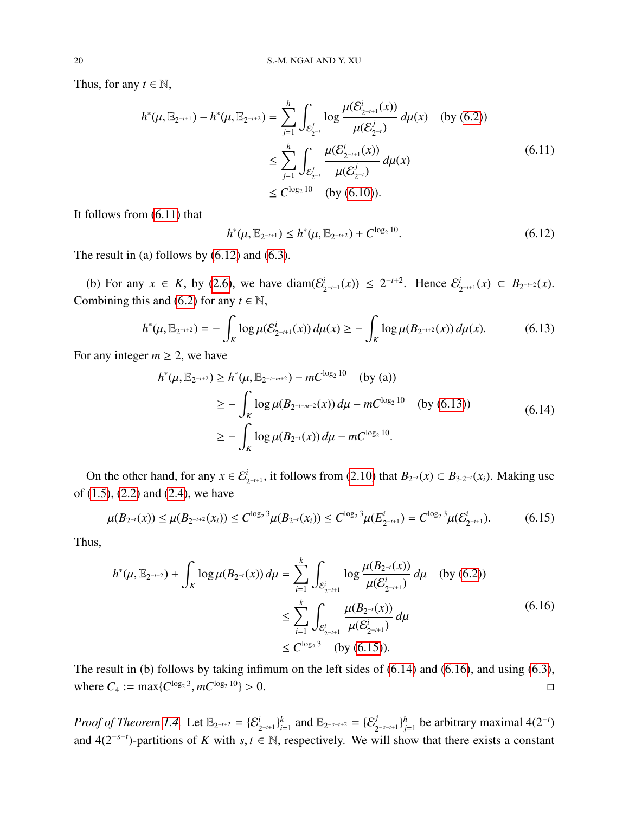Thus, for any  $t \in \mathbb{N}$ ,

<span id="page-19-0"></span>
$$
h^*(\mu, \mathbb{E}_{2^{-t+1}}) - h^*(\mu, \mathbb{E}_{2^{-t+2}}) = \sum_{j=1}^h \int_{\mathcal{E}_{2^{-t}}^j} \log \frac{\mu(\mathcal{E}_{2^{-t+1}}^i(x))}{\mu(\mathcal{E}_{2^{-t}}^j)} d\mu(x) \quad \text{(by (6.2))}
$$
  

$$
\leq \sum_{j=1}^h \int_{\mathcal{E}_{2^{-t}}^j} \frac{\mu(\mathcal{E}_{2^{-t+1}}^i(x))}{\mu(\mathcal{E}_{2^{-t}}^j)} d\mu(x)
$$
  

$$
\leq C^{\log_2 10} \quad \text{(by (6.10))}.
$$
 (6.11)

It follows from [\(6.11\)](#page-19-0) that

<span id="page-19-1"></span>
$$
h^*(\mu, \mathbb{E}_{2^{-t+1}}) \le h^*(\mu, \mathbb{E}_{2^{-t+2}}) + C^{\log_2 10}.
$$
 (6.12)

The result in (a) follows by  $(6.12)$  and  $(6.3)$ .

(b) For any  $x \in K$ , by [\(2.6\)](#page-4-2), we have diam( $\mathcal{E}^i$ .  $\sum_{2^{-t+1}}^{i} (x)$  ≤ 2<sup>-t+2</sup>. Hence  $\mathcal{E}_2^{i}$  ${}_{2^{-t+1}}^i(x)$  ⊂  $B_{2^{-t+2}}(x)$ . Combining this and [\(6.2\)](#page-17-3) for any  $t \in \mathbb{N}$ ,

<span id="page-19-2"></span>
$$
h^*(\mu, \mathbb{E}_{2^{-t+2}}) = -\int_K \log \mu(\mathcal{E}_{2^{-t+1}}^i(x)) d\mu(x) \ge -\int_K \log \mu(B_{2^{-t+2}}(x)) d\mu(x). \tag{6.13}
$$

For any integer  $m \geq 2$ , we have

<span id="page-19-4"></span>
$$
h^*(\mu, \mathbb{E}_{2^{-t+2}}) \ge h^*(\mu, \mathbb{E}_{2^{-t-m+2}}) - mC^{\log_2 10} \quad \text{(by (a))}
$$
  
\n
$$
\ge -\int_K \log \mu(B_{2^{-t-m+2}}(x)) d\mu - mC^{\log_2 10} \quad \text{(by (6.13))}
$$
  
\n
$$
\ge -\int_K \log \mu(B_{2^{-t}}(x)) d\mu - mC^{\log_2 10}.
$$
\n(6.14)

On the other hand, for any  $x \in \mathcal{E}_{2^{-t+1}}^i$ , it follows from [\(2.10\)](#page-4-6) that  $B_{2^{-t}}(x) \subset B_{3 \cdot 2^{-t}}(x_i)$ . Making use of [\(1.5\)](#page-1-2), [\(2.2\)](#page-3-2) and [\(2.4\)](#page-4-1), we have

<span id="page-19-3"></span>
$$
\mu(B_{2^{-i}}(x)) \le \mu(B_{2^{-i+2}}(x_i)) \le C^{\log_2 3} \mu(B_{2^{-i}}(x_i)) \le C^{\log_2 3} \mu(E_{2^{-i+1}}^i) = C^{\log_2 3} \mu(E_{2^{-i+1}}^i).
$$
 (6.15)

Thus,

<span id="page-19-5"></span>
$$
h^*(\mu, \mathbb{E}_{2^{-t+2}}) + \int_K \log \mu(B_{2^{-t}}(x)) d\mu = \sum_{i=1}^k \int_{\mathcal{E}_{2^{-t+1}}^i} \log \frac{\mu(B_{2^{-t}}(x))}{\mu(\mathcal{E}_{2^{-t+1}}^i)} d\mu \quad \text{(by (6.2))}
$$
  

$$
\leq \sum_{i=1}^k \int_{\mathcal{E}_{2^{-t+1}}^i} \frac{\mu(B_{2^{-t}}(x))}{\mu(\mathcal{E}_{2^{-t+1}}^i)} d\mu
$$
  

$$
\leq C^{\log_2 3} \quad \text{(by (6.15))}.
$$
 (6.16)

The result in (b) follows by taking infimum on the left sides of [\(6.14\)](#page-19-4) and [\(6.16\)](#page-19-5), and using [\(6.3\)](#page-17-2), where  $C_4 := \max\{C^{\log_2 3}, mC^{\log_2 2}\}$  $10$  > 0.

*Proof of Theorem [1.4.](#page-3-1)* Let  $\mathbb{E}_{2^{-t+2}} = {\{\mathcal{E}_{2^{-t+1}}^i\}}_i^k$  $\sum_{i=1}^{k}$  and  $\mathbb{E}_{2^{-s-t+2}} = {\sum_{2^{-s-t+1}}^{j}} \}_{j=1}^{h}$  $j_{j=1}^h$  be arbitrary maximal 4(2<sup>-*t*</sup>)</sub> and 4(2<sup>−</sup>*s*−*<sup>t</sup>* )-partitions of *<sup>K</sup>* with *<sup>s</sup>*, *<sup>t</sup>* <sup>∈</sup> <sup>N</sup>, respectively. We will show that there exists a constant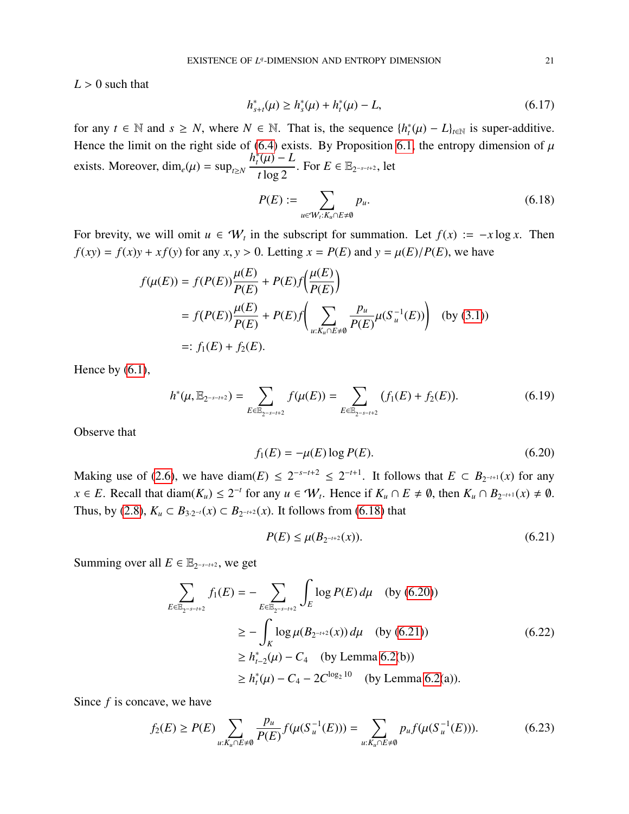$L > 0$  such that

<span id="page-20-6"></span>
$$
h_{s+t}^*(\mu) \ge h_s^*(\mu) + h_t^*(\mu) - L,\tag{6.17}
$$

for any *t* ∈ N and *s* ≥ *N*, where *N* ∈ N. That is, the sequence  $\{h_t^*(\mu) - L\}_{t \in \mathbb{N}}$  is super-additive. Hence the limit on the right side of [\(6.4\)](#page-17-6) exists. By Proposition [6.1,](#page-17-7) the entropy dimension of  $\mu$ exists. Moreover, dim<sub>*e*</sub> $(\mu)$  = sup<sub>*t*≥*N*</sub>  $\frac{h_t^*(\mu) - L}{t \log 2}$ . For  $E \in \mathbb{E}_{2^{-s-t+2}}$ , let

<span id="page-20-0"></span>
$$
P(E) := \sum_{u \in W_t: K_u \cap E \neq \emptyset} p_u.
$$
\n
$$
(6.18)
$$

For brevity, we will omit  $u \in W_t$  in the subscript for summation. Let  $f(x) := -x \log x$ . Then  $f(xy) = f(x)y + xf(y)$  for any  $x, y > 0$ . Letting  $x = P(E)$  and  $y = \mu(E)/P(E)$ , we have

$$
f(\mu(E)) = f(P(E)) \frac{\mu(E)}{P(E)} + P(E) f\left(\frac{\mu(E)}{P(E)}\right)
$$
  
=  $f(P(E)) \frac{\mu(E)}{P(E)} + P(E) f\left(\sum_{u: K_u \cap E \neq \emptyset} \frac{p_u}{P(E)} \mu(S_u^{-1}(E))\right)$  (by (3.1))  
=:  $f_1(E) + f_2(E)$ .

Hence by  $(6.1)$ ,

<span id="page-20-4"></span>
$$
h^*(\mu, \mathbb{E}_{2^{-s-t+2}}) = \sum_{E \in \mathbb{E}_{2^{-s-t+2}}} f(\mu(E)) = \sum_{E \in \mathbb{E}_{2^{-s-t+2}}} (f_1(E) + f_2(E)).
$$
 (6.19)

Observe that

<span id="page-20-1"></span>
$$
f_1(E) = -\mu(E) \log P(E). \tag{6.20}
$$

Making use of [\(2.6\)](#page-4-2), we have diam( $E$ )  $\leq 2^{-s-t+2} \leq 2^{-t+1}$ . It follows that  $E \subset B_{2^{-t+1}}(x)$  for any  $x \in E$ . Recall that diam( $K_u$ )  $\leq 2^{-t}$  for any  $u \in W_t$ . Hence if  $K_u \cap E \neq \emptyset$ , then  $K_u \cap B_{2^{-t+1}}(x) \neq \emptyset$ . Thus, by [\(2.8\)](#page-4-7),  $K_u$  ⊂  $B_{3 \cdot 2^{-t}}(x)$  ⊂  $B_{2^{-t+2}}(x)$ . It follows from [\(6.18\)](#page-20-0) that

<span id="page-20-2"></span>
$$
P(E) \le \mu(B_{2^{-t+2}}(x)).\tag{6.21}
$$

Summing over all  $E \in \mathbb{E}_{2^{-s-t+2}}$ , we get

<span id="page-20-5"></span>
$$
\sum_{E \in \mathbb{E}_{2^{-s-t+2}}} f_1(E) = - \sum_{E \in \mathbb{E}_{2^{-s-t+2}}} \int_E \log P(E) d\mu \quad \text{(by (6.20))}
$$
\n
$$
\geq - \int_K \log \mu(B_{2^{-t+2}}(x)) d\mu \quad \text{(by (6.21))}
$$
\n
$$
\geq h_{t-2}^*(\mu) - C_4 \quad \text{(by Lemma 6.2(b))}
$$
\n
$$
\geq h_t^*(\mu) - C_4 - 2C^{\log_2 10} \quad \text{(by Lemma 6.2(a))}.
$$
\n(6.22)

Since *f* is concave, we have

<span id="page-20-3"></span>
$$
f_2(E) \ge P(E) \sum_{u: K_u \cap E \neq \emptyset} \frac{p_u}{P(E)} f(\mu(S_u^{-1}(E))) = \sum_{u: K_u \cap E \neq \emptyset} p_u f(\mu(S_u^{-1}(E))). \tag{6.23}
$$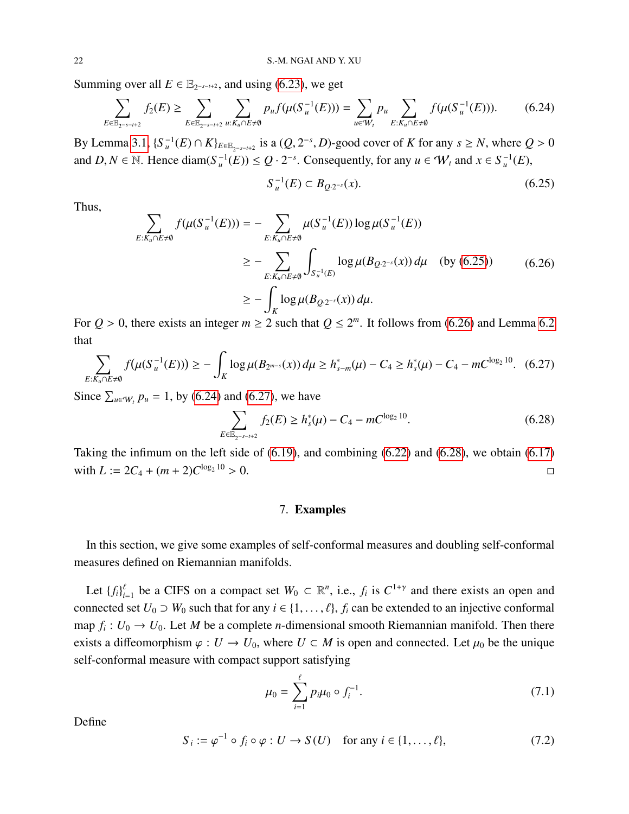Summing over all  $E \in \mathbb{E}_{2^{-s-t+2}}$ , and using [\(6.23\)](#page-20-3), we get

<span id="page-21-3"></span>
$$
\sum_{E \in \mathbb{E}_{2^{-s-t+2}}} f_2(E) \ge \sum_{E \in \mathbb{E}_{2^{-s-t+2}}} \sum_{u: K_u \cap E \ne \emptyset} p_u f(\mu(S_u^{-1}(E))) = \sum_{u \in W_t} p_u \sum_{E: K_u \cap E \ne \emptyset} f(\mu(S_u^{-1}(E))). \tag{6.24}
$$

By Lemma [3.1,](#page-10-3)  ${S}_{u}^{-1}(E) \cap K\}_{E \in \mathbb{E}_{2-s-t+2}}$  is a  $(Q, 2^{-s}, D)$ -good cover of *K* for any  $s \ge N$ , where  $Q > 0$ and  $D, N \in \mathbb{N}$ . Hence diam( $S_u^{-1}(E) \le Q \cdot 2^{-s}$ . Consequently, for any  $u \in W_t$  and  $x \in S_u^{-1}(E)$ ,

<span id="page-21-1"></span>
$$
S_u^{-1}(E) \subset B_{Q \cdot 2^{-s}}(x). \tag{6.25}
$$

Thus,

<span id="page-21-2"></span>
$$
\sum_{E: K_u \cap E \neq \emptyset} f(\mu(S_u^{-1}(E))) = -\sum_{E: K_u \cap E \neq \emptyset} \mu(S_u^{-1}(E)) \log \mu(S_u^{-1}(E))
$$
\n
$$
\geq -\sum_{E: K_u \cap E \neq \emptyset} \int_{S_u^{-1}(E)} \log \mu(B_{Q \cdot 2^{-s}}(x)) d\mu \quad \text{(by (6.25))}
$$
\n
$$
\geq -\int_K \log \mu(B_{Q \cdot 2^{-s}}(x)) d\mu.
$$
\n(6.26)

For  $Q > 0$ , there exists an integer  $m \ge 2$  such that  $Q \le 2^m$ . It follows from [\(6.26\)](#page-21-2) and Lemma [6.2](#page-18-4) that

<span id="page-21-4"></span>
$$
\sum_{E:K_u \cap E \neq \emptyset} f(\mu(S_u^{-1}(E))) \ge -\int_K \log \mu(B_{2^{m-s}}(x)) \, d\mu \ge h^*_{s-m}(\mu) - C_4 \ge h^*_{s}(\mu) - C_4 - mC^{\log_2 10}.\tag{6.27}
$$

Since  $\sum_{u \in W_t} p_u = 1$ , by [\(6.24\)](#page-21-3) and [\(6.27\)](#page-21-4), we have

<span id="page-21-5"></span>
$$
\sum_{E \in \mathbb{E}_{2^{-s-t+2}}} f_2(E) \ge h_s^*(\mu) - C_4 - mC^{\log_2 10}.
$$
 (6.28)

<span id="page-21-0"></span>Taking the infimum on the left side of [\(6.19\)](#page-20-4), and combining [\(6.22\)](#page-20-5) and [\(6.28\)](#page-21-5), we obtain [\(6.17\)](#page-20-6) with  $L := 2C_4 + (m+2)C^{\log_2 10}$  $> 0.$ 

### 7. Examples

In this section, we give some examples of self-conformal measures and doubling self-conformal measures defined on Riemannian manifolds.

Let  $\{f_i\}_{i=1}^{\ell}$  be a CIFS on a compact set  $W_0 \subset \mathbb{R}^n$ , i.e.,  $f_i$  is  $C^{1+\gamma}$  and there exists an open and connected set  $U_0 \supset W_0$  such that for any  $i \in \{1, \ldots, \ell\}$ ,  $f_i$  can be extended to an injective conformal map  $f_i: U_0 \to U_0$ . Let M be a complete *n*-dimensional smooth Riemannian manifold. Then there exists a diffeomorphism  $\varphi : U \to U_0$ , where  $U \subset M$  is open and connected. Let  $\mu_0$  be the unique self-conformal measure with compact support satisfying

<span id="page-21-7"></span>
$$
\mu_0 = \sum_{i=1}^{\ell} p_i \mu_0 \circ f_i^{-1}.
$$
\n(7.1)

Define

<span id="page-21-6"></span>
$$
S_i := \varphi^{-1} \circ f_i \circ \varphi : U \to S(U) \quad \text{for any } i \in \{1, \dots, \ell\},\tag{7.2}
$$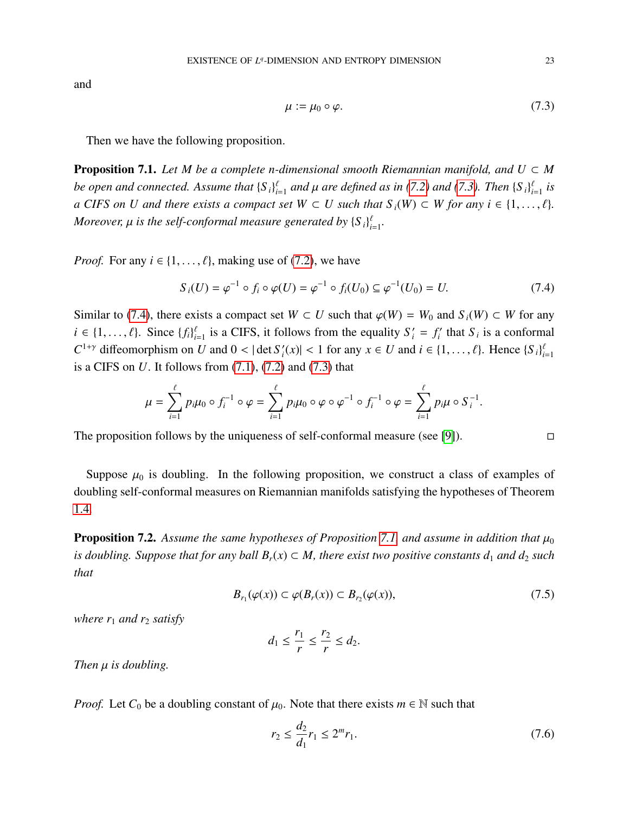and

<span id="page-22-0"></span>
$$
\mu := \mu_0 \circ \varphi. \tag{7.3}
$$

Then we have the following proposition.

<span id="page-22-2"></span>**Proposition 7.1.** Let M be a complete n-dimensional smooth Riemannian manifold, and  $U \subset M$ *be open and connected. Assume that*  $\{S_i\}_{i=1}^{\ell}$  *and*  $\mu$  *are defined as in* [\(7.2\)](#page-21-6) *and* [\(7.3\)](#page-22-0)*. Then*  $\{S_i\}_{i=1}^{\ell}$  *is*<br>*a GUES* and *I* and then mixty a sequence set of W  $\subseteq$  *U* angle that *S* (W)  $\subseteq$  *a* CIFS on U and there exists a compact set  $W \subset U$  such that  $S_i(W) \subset W$  for any  $i \in \{1, \ldots, \ell\}$ . *Moreover,*  $\mu$  *is the self-conformal measure generated by*  $\{S_i\}_{i=1}^{\ell}$ .

*Proof.* For any  $i \in \{1, ..., \ell\}$ , making use of [\(7.2\)](#page-21-6), we have

<span id="page-22-1"></span>
$$
S_i(U) = \varphi^{-1} \circ f_i \circ \varphi(U) = \varphi^{-1} \circ f_i(U_0) \subseteq \varphi^{-1}(U_0) = U.
$$
 (7.4)

Similar to [\(7.4\)](#page-22-1), there exists a compact set  $W \subset U$  such that  $\varphi(W) = W_0$  and  $S_i(W) \subset W$  for any  $i \in \{1, ..., \ell\}$ . Since  $\{f_i\}_{i=1}^{\ell}$  is a CIFS, it follows from the equality  $S'_i = f'_i$  $S_i$ <sup>'</sup> that  $S_i$  is a conformal  $C^{1+\gamma}$  diffeomorphism on *U* and  $0 < |\det S|$  $|f_i(x)| < 1$  for any  $x \in U$  and  $i \in \{1, ..., \ell\}$ . Hence  $\{S_i\}_{i=1}^{\ell}$ is a CIFS on *U*. It follows from [\(7.1\)](#page-21-7), [\(7.2\)](#page-21-6) and [\(7.3\)](#page-22-0) that

$$
\mu = \sum_{i=1}^{\ell} p_i \mu_0 \circ f_i^{-1} \circ \varphi = \sum_{i=1}^{\ell} p_i \mu_0 \circ \varphi \circ \varphi^{-1} \circ f_i^{-1} \circ \varphi = \sum_{i=1}^{\ell} p_i \mu \circ S_i^{-1}.
$$

The proposition follows by the uniqueness of self-conformal measure (see [\[9\]](#page-24-8)).  $\Box$ 

Suppose  $\mu_0$  is doubling. In the following proposition, we construct a class of examples of doubling self-conformal measures on Riemannian manifolds satisfying the hypotheses of Theorem [1.4.](#page-3-1)

<span id="page-22-5"></span>**Proposition 7.2.** Assume the same hypotheses of Proposition [7.1,](#page-22-2) and assume in addition that  $\mu_0$ *is doubling. Suppose that for any ball*  $B_r(x) \subset M$ , there exist two positive constants  $d_1$  and  $d_2$  such *that*

<span id="page-22-3"></span>
$$
B_{r_1}(\varphi(x)) \subset \varphi(B_r(x)) \subset B_{r_2}(\varphi(x)),\tag{7.5}
$$

*where*  $r_1$  *and*  $r_2$  *satisfy* 

$$
d_1 \leq \frac{r_1}{r} \leq \frac{r_2}{r} \leq d_2.
$$

*Then*  $\mu$  *is doubling.* 

*Proof.* Let  $C_0$  be a doubling constant of  $\mu_0$ . Note that there exists  $m \in \mathbb{N}$  such that

<span id="page-22-4"></span>
$$
r_2 \le \frac{d_2}{d_1} r_1 \le 2^m r_1. \tag{7.6}
$$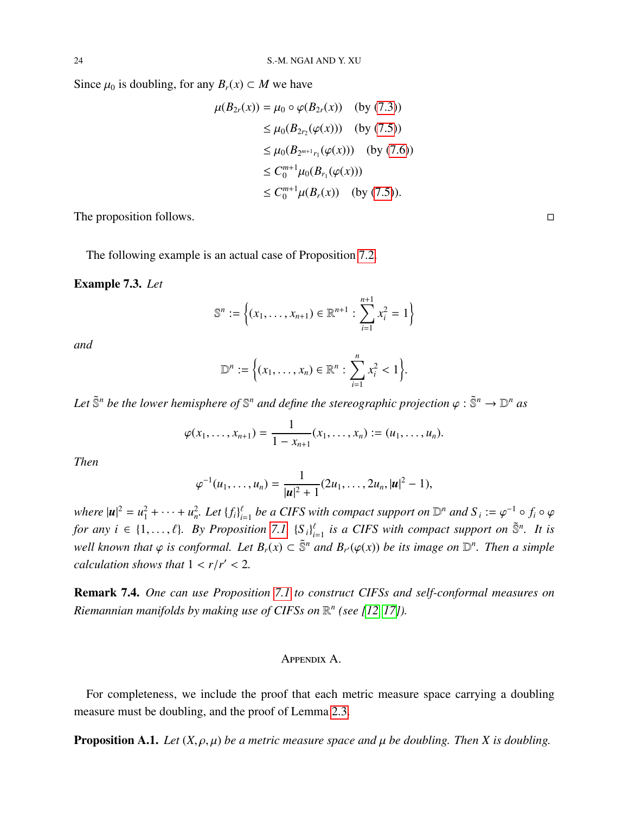Since  $\mu_0$  is doubling, for any  $B_r(x) \subset M$  we have

$$
\mu(B_{2r}(x)) = \mu_0 \circ \varphi(B_{2r}(x)) \quad \text{(by (7.3))}
$$
  
\n
$$
\leq \mu_0(B_{2r_2}(\varphi(x))) \quad \text{(by (7.5))}
$$
  
\n
$$
\leq \mu_0(B_{2^{m+1}r_1}(\varphi(x))) \quad \text{(by (7.6))}
$$
  
\n
$$
\leq C_0^{m+1} \mu_0(B_{r_1}(\varphi(x)))
$$
  
\n
$$
\leq C_0^{m+1} \mu(B_r(x)) \quad \text{(by (7.5))}.
$$

The proposition follows.  $\Box$ 

The following example is an actual case of Proposition [7.2.](#page-22-5)

Example 7.3. *Let*

$$
\mathbb{S}^n := \left\{ (x_1, \dots, x_{n+1}) \in \mathbb{R}^{n+1} : \sum_{i=1}^{n+1} x_i^2 = 1 \right\}
$$

*and*

$$
\mathbb{D}^n := \Big\{ (x_1, \ldots, x_n) \in \mathbb{R}^n : \sum_{i=1}^n x_i^2 < 1 \Big\}.
$$

Let  $\tilde{\mathbb{S}}^n$  be the lower hemisphere of  $\mathbb{S}^n$  and define the stereographic projection  $\varphi : \tilde{\mathbb{S}}^n \to \mathbb{D}^n$  as

$$
\varphi(x_1,\ldots,x_{n+1})=\frac{1}{1-x_{n+1}}(x_1,\ldots,x_n):=(u_1,\ldots,u_n).
$$

*Then*

$$
\varphi^{-1}(u_1,\ldots,u_n)=\frac{1}{|\mathbf{u}|^2+1}(2u_1,\ldots,2u_n,|\mathbf{u}|^2-1),
$$

*where*  $|\mathbf{u}|^2 = u_1^2 + \cdots + u_n^2$ . Let  $\{f_i\}_{i=1}^{\ell}$  be a CIFS with compact support on  $\mathbb{D}^n$  and  $S_i := \varphi^{-1} \circ f_i \circ \varphi$ *for any i* ∈ {1,...,  $\ell$ }. By Proposition [7.1,](#page-22-2)  $\{S_i\}_{i=1}^{\ell}$  is a CIFS with compact support on  $\tilde{S}^n$ . It is *well known that*  $\varphi$  *is conformal. Let*  $B_r(x)$  ⊂  $\tilde{S}^n$  *and*  $B_{r'}(\varphi(x))$  *be its image on*  $\mathbb{D}^n$ *. Then a simple calculation shows that*  $1 < r/r' < 2$ .

Remark 7.4. *One can use Proposition [7.1](#page-22-2) to construct CIFSs and self-conformal measures on Riemannian manifolds by making use of CIFSs on* R *n (see [\[12,](#page-24-9) [17\]](#page-25-4)).*

### Appendix A.

For completeness, we include the proof that each metric measure space carrying a doubling measure must be doubling, and the proof of Lemma [2.3.](#page-6-0)

<span id="page-23-0"></span>**Proposition A.1.** *Let*  $(X, \rho, \mu)$  *be a metric measure space and*  $\mu$  *be doubling. Then* X *is doubling.*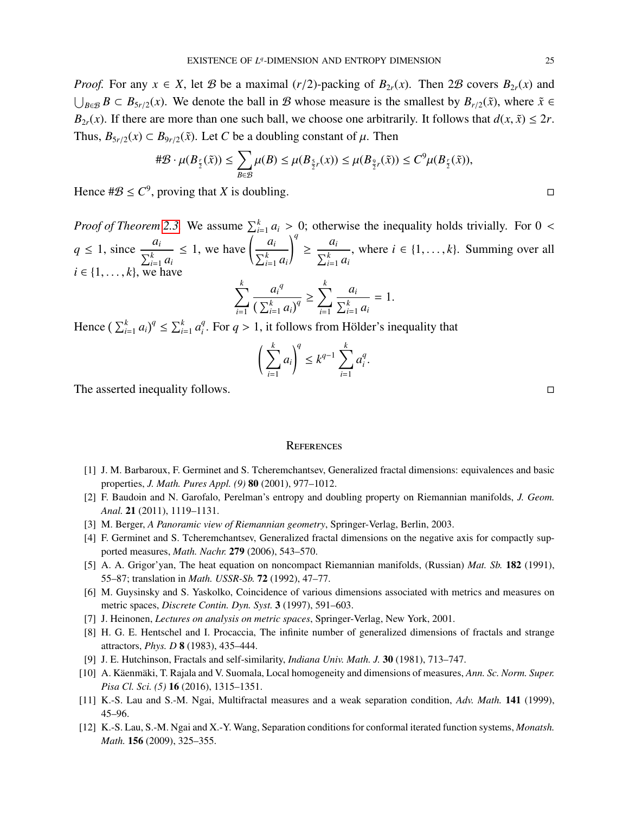*Proof.* For any  $x \in X$ , let B be a maximal (*r*/2)-packing of  $B_{2r}(x)$ . Then 2B covers  $B_{2r}(x)$  and  $\bigcup_{B \in \mathcal{B}} B \subset B_{5r/2}(x)$ . We denote the ball in *B* whose measure is the smallest by  $B_{r/2}(\tilde{x})$ , where  $\tilde{x} \in \tilde{B}$ *B*<sub>2*r*</sub>(*x*). If there are more than one such ball, we choose one arbitrarily. It follows that  $d(x, \tilde{x}) \leq 2r$ . Thus,  $B_{5r/2}(x) \subset B_{9r/2}(\tilde{x})$ . Let *C* be a doubling constant of  $\mu$ . Then

$$
\#\mathcal{B}\cdot\mu(B_{\frac{r}{2}}(\tilde{x}))\leq \sum_{B\in\mathcal{B}}\mu(B)\leq\mu(B_{\frac{5}{2}r}(x))\leq\mu(B_{\frac{9}{2}r}(\tilde{x}))\leq C^9\mu(B_{\frac{r}{2}}(\tilde{x})),
$$

Hence  $\#B \leq C^9$ , proving that *X* is doubling.

*Proof of Theorem [2.3.](#page-6-0)* We assume  $\sum_{i=1}^{k} a_i > 0$ ; otherwise the inequality holds trivially. For  $0 < a_i$  $q \leq 1$ , since  $\frac{a_i}{r}$  $\sum_{i=1}^k a_i$  $\leq 1$ , we have  $\left( \frac{a_i}{b_i} \right)$  $\sum_{i=1}^k a_i$ !*q*  $\geq \frac{a_i}{a_i}$  $\frac{a_i}{\sum_{i=1}^k a_i}$ , where  $i \in \{1, ..., k\}$ . Summing over all  $i \in \{1, \ldots, k\}$ , we have *k k*

$$
\sum_{i=1}^k \frac{a_i^q}{\left(\sum_{i=1}^k a_i\right)^q} \ge \sum_{i=1}^k \frac{a_i}{\sum_{i=1}^k a_i} = 1.
$$

Hence  $\left(\sum_{i=1}^{k} a_i\right)^q \le \sum_{i=1}^{k} a_i^q$  $\int_{i}^{q}$ . For *q* > 1, it follows from Hölder's inequality that

$$
\left(\sum_{i=1}^k a_i\right)^q \le k^{q-1} \sum_{i=1}^k a_i^q.
$$

The asserted inequality follows.

### **REFERENCES**

- <span id="page-24-3"></span>[1] J. M. Barbaroux, F. Germinet and S. Tcheremchantsev, Generalized fractal dimensions: equivalences and basic properties, *J. Math. Pures Appl. (9)* 80 (2001), 977–1012.
- [2] F. Baudoin and N. Garofalo, Perelman's entropy and doubling property on Riemannian manifolds, *J. Geom. Anal.* 21 (2011), 1119–1131.
- <span id="page-24-5"></span>[3] M. Berger, *A Panoramic view of Riemannian geometry*, Springer-Verlag, Berlin, 2003.
- <span id="page-24-4"></span>[4] F. Germinet and S. Tcheremchantsev, Generalized fractal dimensions on the negative axis for compactly supported measures, *Math. Nachr.* 279 (2006), 543–570.
- [5] A. A. Grigor'yan, The heat equation on noncompact Riemannian manifolds, (Russian) *Mat. Sb.* 182 (1991), 55–87; translation in *Math. USSR-Sb.* 72 (1992), 47–77.
- <span id="page-24-2"></span>[6] M. Guysinsky and S. Yaskolko, Coincidence of various dimensions associated with metrics and measures on metric spaces, *Discrete Contin. Dyn. Syst.* 3 (1997), 591–603.
- <span id="page-24-6"></span>[7] J. Heinonen, *Lectures on analysis on metric spaces*, Springer-Verlag, New York, 2001.
- <span id="page-24-1"></span>[8] H. G. E. Hentschel and I. Procaccia, The infinite number of generalized dimensions of fractals and strange attractors, *Phys. D* 8 (1983), 435–444.
- <span id="page-24-8"></span>[9] J. E. Hutchinson, Fractals and self-similarity, *Indiana Univ. Math. J.* 30 (1981), 713–747.
- <span id="page-24-7"></span>[10] A. Käenmäki, T. Rajala and V. Suomala, Local homogeneity and dimensions of measures, Ann. Sc. Norm. Super. *Pisa Cl. Sci. (5)* 16 (2016), 1315–1351.
- <span id="page-24-0"></span>[11] K.-S. Lau and S.-M. Ngai, Multifractal measures and a weak separation condition, *Adv. Math.* 141 (1999), 45–96.
- <span id="page-24-9"></span>[12] K.-S. Lau, S.-M. Ngai and X.-Y. Wang, Separation conditions for conformal iterated function systems, *Monatsh. Math.* 156 (2009), 325–355.